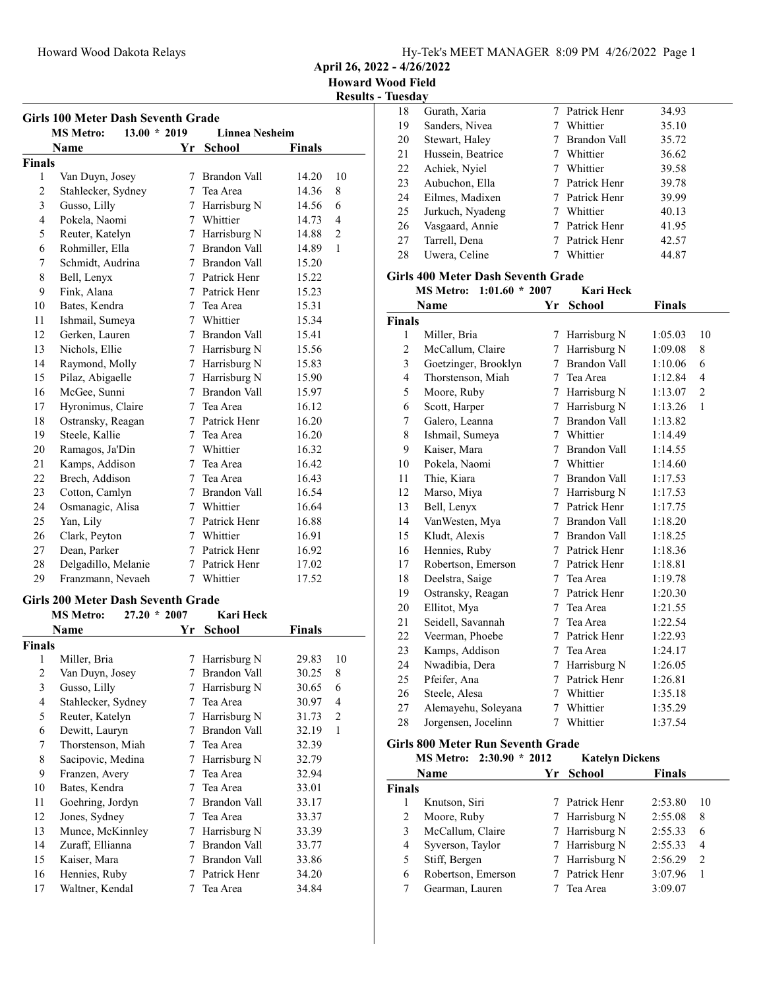April 26, 2022 - 4/26/2022

Results - Tuesday

| <b>Girls 100 Meter Dash Seventh Grade</b> |                                    |                 |                       |               |              |  |
|-------------------------------------------|------------------------------------|-----------------|-----------------------|---------------|--------------|--|
|                                           | $13.00 * 2019$<br><b>MS Metro:</b> |                 | <b>Linnea Nesheim</b> |               |              |  |
|                                           | Name                               | Yr              | <b>School</b>         | <b>Finals</b> |              |  |
| <b>Finals</b>                             |                                    |                 |                       |               |              |  |
| 1                                         | Van Duyn, Josey                    | 7               | <b>Brandon Vall</b>   | 14.20         | 10           |  |
| $\overline{c}$                            | Stahlecker, Sydney                 | 7               | Tea Area              | 14.36         | 8            |  |
| 3                                         | Gusso, Lilly                       | $7^{\circ}$     | Harrisburg N          | 14.56         | 6            |  |
| $\overline{4}$                            | Pokela, Naomi                      | 7 <sup>7</sup>  | Whittier              | 14.73         | 4            |  |
| 5                                         | Reuter, Katelyn                    | $7^{\circ}$     | Harrisburg N          | 14.88         | 2            |  |
| 6                                         | Rohmiller, Ella                    |                 | 7 Brandon Vall        | 14.89         | $\mathbf{1}$ |  |
| 7                                         | Schmidt, Audrina                   |                 | 7 Brandon Vall        | 15.20         |              |  |
| 8                                         | Bell, Lenyx                        |                 | 7 Patrick Henr        | 15.22         |              |  |
| 9                                         | Fink, Alana                        | $7^{\circ}$     | Patrick Henr          | 15.23         |              |  |
| 10                                        | Bates, Kendra                      | $7^{\circ}$     | Tea Area              | 15.31         |              |  |
| 11                                        | Ishmail, Sumeya                    |                 | 7 Whittier            | 15.34         |              |  |
| 12                                        | Gerken, Lauren                     | 7               | Brandon Vall          | 15.41         |              |  |
| 13                                        | Nichols, Ellie                     | $7^{\circ}$     | Harrisburg N          | 15.56         |              |  |
| 14                                        | Raymond, Molly                     |                 | 7 Harrisburg N        | 15.83         |              |  |
| 15                                        | Pilaz, Abigaelle                   |                 | 7 Harrisburg N        | 15.90         |              |  |
| 16                                        | McGee, Sunni                       | $7\phantom{.0}$ | Brandon Vall          | 15.97         |              |  |
| 17                                        | Hyronimus, Claire                  | 7               | Tea Area              | 16.12         |              |  |
| 18                                        | Ostransky, Reagan                  |                 | 7 Patrick Henr        | 16.20         |              |  |
| 19                                        | Steele, Kallie                     | 7               | Tea Area              | 16.20         |              |  |
| 20                                        | Ramagos, Ja'Din                    |                 | 7 Whittier            | 16.32         |              |  |
| 21                                        | Kamps, Addison                     | $7^{\circ}$     | Tea Area              | 16.42         |              |  |
| 22                                        | Brech, Addison                     |                 | 7 Tea Area            | 16.43         |              |  |
| 23                                        | Cotton, Camlyn                     |                 | 7 Brandon Vall        | 16.54         |              |  |
| 24                                        | Osmanagic, Alisa                   | $7^{\circ}$     | Whittier              | 16.64         |              |  |
| 25                                        | Yan, Lily                          | $7^{\circ}$     | Patrick Henr          | 16.88         |              |  |
| 26                                        | Clark, Peyton                      |                 | 7 Whittier            | 16.91         |              |  |
| 27                                        | Dean, Parker                       |                 | 7 Patrick Henr        | 16.92         |              |  |
| 28                                        | Delgadillo, Melanie                | $7^{\circ}$     | Patrick Henr          | 17.02         |              |  |
| 29                                        | Franzmann, Nevaeh                  | 7               | Whittier              | 17.52         |              |  |

## Girls 200 Meter Dash Seventh Grade<br>MS Metro 27.20 \* 2007 Kari Hack

|               | <b>MS</b> Metro:<br>$27.20 * 2007$ |               | Kari Heck           |               |    |
|---------------|------------------------------------|---------------|---------------------|---------------|----|
|               | Name                               | Yr            | School              | <b>Finals</b> |    |
| <b>Finals</b> |                                    |               |                     |               |    |
| 1             | Miller, Bria                       | 7             | Harrisburg N        | 29.83         | 10 |
| 2             | Van Duyn, Josey                    |               | Brandon Vall        | 30.25         | 8  |
| 3             | Gusso, Lilly                       | 7             | Harrisburg N        | 30.65         | 6  |
| 4             | Stahlecker, Sydney                 | $\frac{1}{2}$ | Tea Area            | 30.97         | 4  |
| 5             | Reuter, Katelyn                    | 7             | Harrisburg N        | 31.73         | 2  |
| 6             | Dewitt, Lauryn                     | 7             | <b>Brandon Vall</b> | 32.19         | 1  |
| 7             | Thorstenson, Miah                  | 7             | Tea Area            | 32.39         |    |
| 8             | Sacipovic, Medina                  | 7             | Harrisburg N        | 32.79         |    |
| 9             | Franzen, Avery                     | 7             | Tea Area            | 32.94         |    |
| 10            | Bates, Kendra                      | 7             | Tea Area            | 33.01         |    |
| 11            | Goehring, Jordyn                   | 7             | Brandon Vall        | 33.17         |    |
| 12            | Jones, Sydney                      | 7             | Tea Area            | 33.37         |    |
| 13            | Munce, McKinnley                   | 7             | Harrisburg N        | 33.39         |    |
| 14            | Zuraff, Ellianna                   | 7             | Brandon Vall        | 33.77         |    |
| 15            | Kaiser, Mara                       | 7             | Brandon Vall        | 33.86         |    |
| 16            | Hennies, Ruby                      |               | Patrick Henr        | 34.20         |    |
| 17            | Waltner, Kendal                    |               | Tea Area            | 34.84         |    |

| .  |                   |                |       |
|----|-------------------|----------------|-------|
| 18 | Gurath, Xaria     | 7 Patrick Henr | 34.93 |
| 19 | Sanders, Nivea    | Whittier       | 35.10 |
| 20 | Stewart, Haley    | Brandon Vall   | 35.72 |
| 21 | Hussein, Beatrice | Whittier       | 36.62 |
| 22 | Achiek, Nyiel     | Whittier       | 39.58 |
| 23 | Aubuchon, Ella    | Patrick Henr   | 39.78 |
| 24 | Eilmes, Madixen   | Patrick Henr   | 39.99 |
| 25 | Jurkuch, Nyadeng  | Whittier       | 40.13 |
| 26 | Vasgaard, Annie   | Patrick Henr   | 41.95 |
| 27 | Tarrell, Dena     | Patrick Henr   | 42.57 |
| 28 | Uwera, Celine     | Whittier       | 44.87 |
|    |                   |                |       |

#### Girls 400 Meter Dash Seventh Grade

|                | $1:01.60 * 2007$<br><b>MS Metro:</b> |             | <b>Kari Heck</b>    |               |                |
|----------------|--------------------------------------|-------------|---------------------|---------------|----------------|
|                | Name                                 | Yr          | <b>School</b>       | <b>Finals</b> |                |
| Finals         |                                      |             |                     |               |                |
| 1              | Miller, Bria                         | 7           | Harrisburg N        | 1:05.03       | 10             |
| $\overline{c}$ | McCallum, Claire                     | 7           | Harrisburg N        | 1:09.08       | 8              |
| 3              | Goetzinger, Brooklyn                 | 7           | <b>Brandon Vall</b> | 1:10.06       | 6              |
| $\overline{4}$ | Thorstenson, Miah                    |             | 7 Tea Area          | 1:12.84       | $\overline{4}$ |
| 5              | Moore, Ruby                          |             | 7 Harrisburg N      | 1:13.07       | $\overline{2}$ |
| 6              | Scott, Harper                        | 7           | Harrisburg N        | 1:13.26       | 1              |
| 7              | Galero, Leanna                       | 7           | <b>Brandon Vall</b> | 1:13.82       |                |
| 8              | Ishmail, Sumeya                      | 7           | Whittier            | 1:14.49       |                |
| 9              | Kaiser, Mara                         |             | 7 Brandon Vall      | 1:14.55       |                |
| 10             | Pokela, Naomi                        |             | 7 Whittier          | 1:14.60       |                |
| 11             | Thie, Kiara                          | 7           | <b>Brandon Vall</b> | 1:17.53       |                |
| 12             | Marso, Miya                          | 7           | Harrisburg N        | 1:17.53       |                |
| 13             | Bell, Lenyx                          | 7           | Patrick Henr        | 1:17.75       |                |
| 14             | VanWesten, Mya                       |             | 7 Brandon Vall      | 1:18.20       |                |
| 15             | Kludt, Alexis                        |             | 7 Brandon Vall      | 1:18.25       |                |
| 16             | Hennies, Ruby                        |             | 7 Patrick Henr      | 1:18.36       |                |
| 17             | Robertson, Emerson                   | 7           | Patrick Henr        | 1:18.81       |                |
| 18             | Deelstra, Saige                      | 7           | Tea Area            | 1:19.78       |                |
| 19             | Ostransky, Reagan                    | 7           | Patrick Henr        | 1:20.30       |                |
| 20             | Ellitot, Mya                         | 7           | Tea Area            | 1:21.55       |                |
| 21             | Seidell, Savannah                    | 7           | Tea Area            | 1:22.54       |                |
| 22             | Veerman, Phoebe                      | 7           | Patrick Henr        | 1:22.93       |                |
| 23             | Kamps, Addison                       | 7           | Tea Area            | 1:24.17       |                |
| 24             | Nwadibia, Dera                       | 7           | Harrisburg N        | 1:26.05       |                |
| 25             | Pfeifer, Ana                         | $7^{\circ}$ | Patrick Henr        | 1:26.81       |                |
| 26             | Steele, Alesa                        |             | 7 Whittier          | 1:35.18       |                |
| 27             | Alemayehu, Soleyana                  | 7           | Whittier            | 1:35.29       |                |
| 28             | Jorgensen, Jocelinn                  | 7           | Whittier            | 1:37.54       |                |
|                |                                      |             |                     |               |                |

## Girls 800 Meter Run Seventh Grade

|               | MS Metro: 2:30.90 * 2012 |     | <b>Katelyn Dickens</b> |               |               |
|---------------|--------------------------|-----|------------------------|---------------|---------------|
|               | Name                     | Yr. | School                 | <b>Finals</b> |               |
| <b>Finals</b> |                          |     |                        |               |               |
|               | Knutson, Siri            |     | 7 Patrick Henr         | 2:53.80       | 10            |
| 2             | Moore, Ruby              |     | 7 Harrisburg N         | 2:55.08       | 8             |
| 3             | McCallum, Claire         |     | 7 Harrisburg N         | 2:55.33       | 6             |
| 4             | Syverson, Taylor         |     | 7 Harrisburg N         | 2:55.33       | 4             |
| 5             | Stiff, Bergen            |     | 7 Harrisburg N         | 2:56.29       | $\mathcal{L}$ |
| 6             | Robertson, Emerson       |     | Patrick Henr           | 3:07.96       |               |
|               | Gearman, Lauren          |     | Tea Area               | 3:09.07       |               |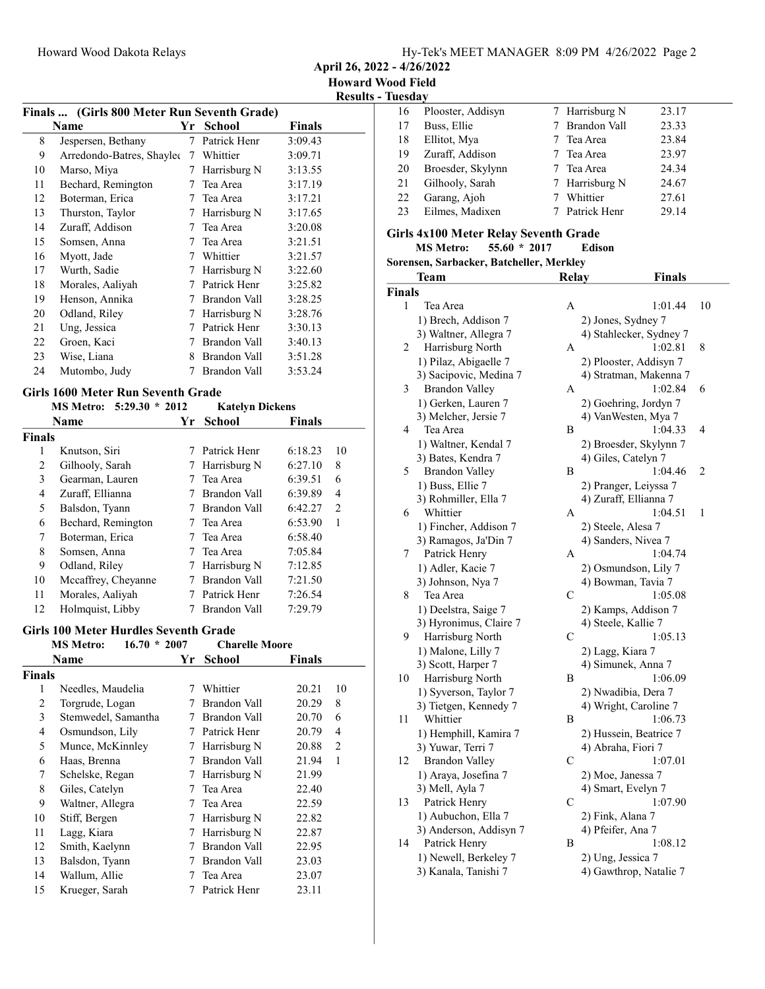April 26, 2022 - 4/26/2022

Results - Tuesday

|    | Finals  (Girls 800 Meter Run Seventh Grade) |     |               |         |  |
|----|---------------------------------------------|-----|---------------|---------|--|
|    | Name                                        | Yr. | <b>School</b> | Finals  |  |
| 8  | Jespersen, Bethany                          | 7   | Patrick Henr  | 3:09.43 |  |
| 9  | Arredondo-Batres, Shaylee                   | 7   | Whittier      | 3:09.71 |  |
| 10 | Marso, Miya                                 | 7   | Harrisburg N  | 3:13.55 |  |
| 11 | Bechard, Remington                          | 7   | Tea Area      | 3:17.19 |  |
| 12 | Boterman, Erica                             | 7   | Tea Area      | 3:17.21 |  |
| 13 | Thurston, Taylor                            | 7   | Harrisburg N  | 3:17.65 |  |
| 14 | Zuraff, Addison                             | 7   | Tea Area      | 3:20.08 |  |
| 15 | Somsen, Anna                                | 7   | Tea Area      | 3:21.51 |  |
| 16 | Myott, Jade                                 | 7   | Whittier      | 3:21.57 |  |
| 17 | Wurth, Sadie                                | 7   | Harrisburg N  | 3:22.60 |  |
| 18 | Morales, Aaliyah                            | 7   | Patrick Henr  | 3:25.82 |  |
| 19 | Henson, Annika                              | 7   | Brandon Vall  | 3:28.25 |  |
| 20 | Odland, Riley                               | 7   | Harrisburg N  | 3:28.76 |  |
| 21 | Ung, Jessica                                | 7   | Patrick Henr  | 3:30.13 |  |
| 22 | Groen, Kaci                                 | 7   | Brandon Vall  | 3:40.13 |  |
| 23 | Wise, Liana                                 | 8   | Brandon Vall  | 3:51.28 |  |
| 24 | Mutombo, Judy                               | 7   | Brandon Vall  | 3:53.24 |  |
|    |                                             |     |               |         |  |

## Girls 1600 Meter Run Seventh Grade

|               | MS Metro: 5:29.30 * 2012 |    | <b>Katelyn Dickens</b> |               |                |
|---------------|--------------------------|----|------------------------|---------------|----------------|
|               | <b>Name</b>              | Yr | School                 | <b>Finals</b> |                |
| <b>Finals</b> |                          |    |                        |               |                |
| 1             | Knutson, Siri            |    | Patrick Henr           | 6:18.23       | 10             |
| 2             | Gilhooly, Sarah          |    | Harrisburg N           | 6:27.10       | 8              |
| 3             | Gearman, Lauren          |    | Tea Area               | 6:39.51       | 6              |
| 4             | Zuraff, Ellianna         |    | Brandon Vall           | 6:39.89       | 4              |
| 5             | Balsdon, Tyann           |    | Brandon Vall           | 6:42.27       | $\mathfrak{D}$ |
| 6             | Bechard, Remington       |    | Tea Area               | 6:53.90       | 1              |
| 7             | Boterman, Erica          |    | Tea Area               | 6:58.40       |                |
| 8             | Somsen, Anna             |    | Tea Area               | 7:05.84       |                |
| 9             | Odland, Riley            | Ί  | Harrisburg N           | 7:12.85       |                |
| 10            | Mccaffrey, Cheyanne      |    | Brandon Vall           | 7:21.50       |                |
| 11            | Morales, Aaliyah         |    | Patrick Henr           | 7:26.54       |                |
| 12            | Holmquist, Libby         |    | Brandon Vall           | 7:29.79       |                |
|               |                          |    |                        |               |                |

#### Girls 100 Meter Hurdles Seventh Grade

|        | $16.70 * 2007$<br><b>MS</b> Metro: |    | <b>Charelle Moore</b> |               |                |
|--------|------------------------------------|----|-----------------------|---------------|----------------|
|        | Name                               | Yr | School                | <b>Finals</b> |                |
| Finals |                                    |    |                       |               |                |
| 1      | Needles, Maudelia                  | 7  | Whittier              | 20.21         | 10             |
| 2      | Torgrude, Logan                    |    | Brandon Vall          | 20.29         | 8              |
| 3      | Stemwedel, Samantha                | 7  | Brandon Vall          | 20.70         | 6              |
| 4      | Osmundson, Lily                    | 7  | Patrick Henr          | 20.79         | 4              |
| 5      | Munce, McKinnley                   | 7  | Harrisburg N          | 20.88         | $\mathfrak{D}$ |
| 6      | Haas, Brenna                       | 7  | Brandon Vall          | 21.94         | 1              |
| 7      | Schelske, Regan                    | 7  | Harrisburg N          | 21.99         |                |
| 8      | Giles, Catelyn                     | 7  | Tea Area              | 22.40         |                |
| 9      | Waltner, Allegra                   | 7  | Tea Area              | 22.59         |                |
| 10     | Stiff, Bergen                      | 7  | Harrisburg N          | 22.82         |                |
| 11     | Lagg, Kiara                        | 7  | Harrisburg N          | 22.87         |                |
| 12     | Smith, Kaelynn                     | 7  | Brandon Vall          | 22.95         |                |
| 13     | Balsdon, Tyann                     | 7  | Brandon Vall          | 23.03         |                |
| 14     | Wallum, Allie                      |    | Tea Area              | 23.07         |                |
| 15     | Krueger, Sarah                     |    | Patrick Henr          | 23.11         |                |

| 16 | Plooster, Addisyn | 7 Harrisburg N | 23.17 |
|----|-------------------|----------------|-------|
| 17 | Buss, Ellie       | Brandon Vall   | 23.33 |
| 18 | Ellitot, Mya      | 7 Tea Area     | 23.84 |
| 19 | Zuraff, Addison   | 7 Tea Area     | 23.97 |
| 20 | Broesder, Skylynn | 7 Tea Area     | 24.34 |
| 21 | Gilhooly, Sarah   | 7 Harrisburg N | 24.67 |
| 22 | Garang, Ajoh      | Whittier       | 27.61 |
| 23 | Eilmes, Madixen   | Patrick Henr   | 29.14 |
|    |                   |                |       |

# Girls 4x100 Meter Relay Seventh Grade<br>MS Metro: 55.60 \* 2017 Edison

MS Metro: 55.60 \* 2017 Sorensen, Sarbacker, Batcheller, Merkley

|               | <b>Team</b>            | Relay         | <b>Finals</b>           |                |
|---------------|------------------------|---------------|-------------------------|----------------|
| <b>Finals</b> |                        |               |                         |                |
| 1             | Tea Area               | A             | 1:01.44                 | 10             |
|               | 1) Brech, Addison 7    |               | 2) Jones, Sydney 7      |                |
|               | 3) Waltner, Allegra 7  |               | 4) Stahlecker, Sydney 7 |                |
| 2             | Harrisburg North       | Α             | 1:02.81                 | 8              |
|               | 1) Pilaz, Abigaelle 7  |               | 2) Plooster, Addisyn 7  |                |
|               | 3) Sacipovic, Medina 7 |               | 4) Stratman, Makenna 7  |                |
| 3             | <b>Brandon Valley</b>  | A             | 1:02.84                 | 6              |
|               | 1) Gerken, Lauren 7    |               | 2) Goehring, Jordyn 7   |                |
|               | 3) Melcher, Jersie 7   |               | 4) VanWesten, Mya 7     |                |
| 4             | Tea Area               | B             | 1:04.33                 | $\overline{4}$ |
|               | 1) Waltner, Kendal 7   |               | 2) Broesder, Skylynn 7  |                |
|               | 3) Bates, Kendra 7     |               | 4) Giles, Catelyn 7     |                |
| 5             | <b>Brandon Valley</b>  | B             | 1:04.46                 | $\overline{c}$ |
|               | 1) Buss, Ellie 7       |               | 2) Pranger, Leiyssa 7   |                |
|               | 3) Rohmiller, Ella 7   |               | 4) Zuraff, Ellianna 7   |                |
| 6             | Whittier               | A             | 1:04.51                 | 1              |
|               | 1) Fincher, Addison 7  |               | 2) Steele, Alesa 7      |                |
|               | 3) Ramagos, Ja'Din 7   |               | 4) Sanders, Nivea 7     |                |
| 7             | Patrick Henry          | A             | 1:04.74                 |                |
|               | 1) Adler, Kacie 7      |               | 2) Osmundson, Lily 7    |                |
|               | 3) Johnson, Nya 7      |               | 4) Bowman, Tavia 7      |                |
| 8             | Tea Area               | $\mathcal{C}$ | 1:05.08                 |                |
|               | 1) Deelstra, Saige 7   |               | 2) Kamps, Addison 7     |                |
|               | 3) Hyronimus, Claire 7 |               | 4) Steele, Kallie 7     |                |
| 9             | Harrisburg North       | C             | 1:05.13                 |                |
|               | 1) Malone, Lilly 7     |               | 2) Lagg, Kiara 7        |                |
|               | 3) Scott, Harper 7     |               | 4) Simunek, Anna 7      |                |
| 10            | Harrisburg North       | B             | 1:06.09                 |                |
|               | 1) Syverson, Taylor 7  |               | 2) Nwadibia, Dera 7     |                |
|               | 3) Tietgen, Kennedy 7  |               | 4) Wright, Caroline 7   |                |
| 11            | Whittier               | Β             | 1:06.73                 |                |
|               | 1) Hemphill, Kamira 7  |               | 2) Hussein, Beatrice 7  |                |
|               | 3) Yuwar, Terri 7      |               | 4) Abraha, Fiori 7      |                |
| 12            | <b>Brandon Valley</b>  | C             | 1:07.01                 |                |
|               | 1) Araya, Josefina 7   |               | 2) Moe, Janessa 7       |                |
|               | 3) Mell, Ayla 7        |               | 4) Smart, Evelyn 7      |                |
| 13            | Patrick Henry          | C             | 1:07.90                 |                |
|               | 1) Aubuchon, Ella 7    |               | 2) Fink, Alana 7        |                |
|               | 3) Anderson, Addisyn 7 |               | 4) Pfeifer, Ana 7       |                |
| 14            | Patrick Henry          | Β             | 1:08.12                 |                |
|               | 1) Newell, Berkeley 7  |               | 2) Ung, Jessica 7       |                |
|               | 3) Kanala, Tanishi 7   |               | 4) Gawthrop, Natalie 7  |                |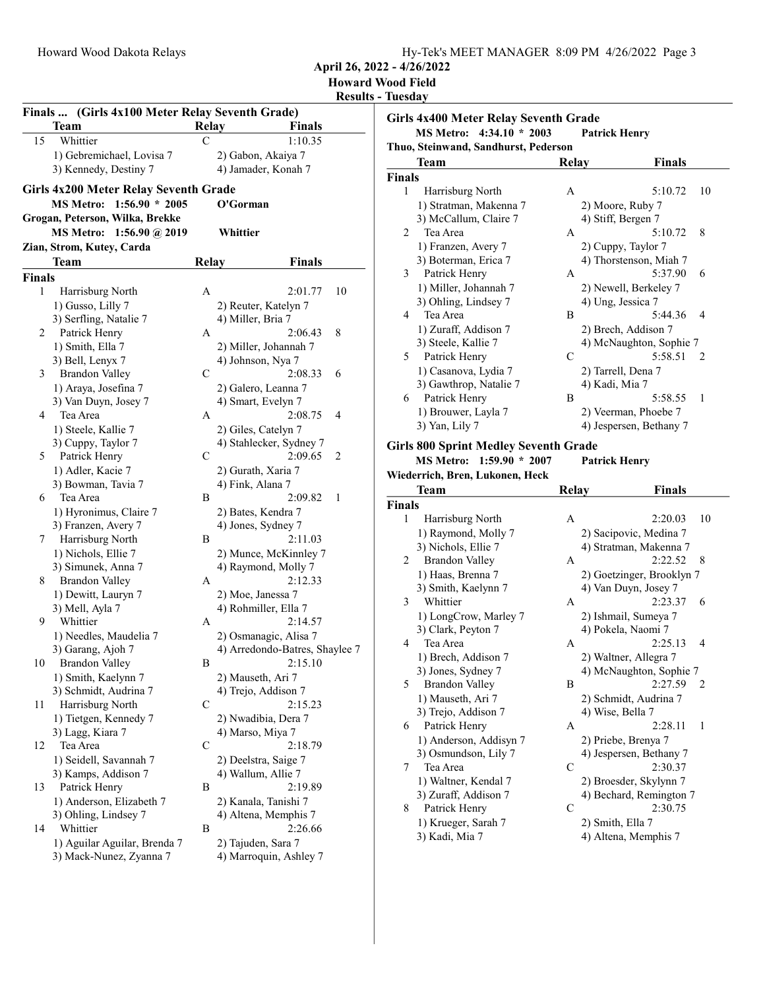| Hy-Tek's MEET MANAGER 8:09 PM 4/26/2022 Page 3 |  |  |
|------------------------------------------------|--|--|
|                                                |  |  |

April 26, 2022 - 4/26/2022

|              |                                                 |              |                                          |    | <b>Howard Wood Field</b><br><b>Results - Tuesday</b> |
|--------------|-------------------------------------------------|--------------|------------------------------------------|----|------------------------------------------------------|
|              | Finals  (Girls 4x100 Meter Relay Seventh Grade) |              |                                          |    | Girls 4x40                                           |
|              | Team                                            | Relay        | <b>Finals</b>                            |    | MS N                                                 |
| 15           | Whittier                                        | C            | 1:10.35                                  |    | Thuo, Steir                                          |
|              | 1) Gebremichael, Lovisa 7                       |              | 2) Gabon, Akaiya 7                       |    | Tear                                                 |
|              | 3) Kennedy, Destiny 7                           |              | 4) Jamader, Konah 7                      |    | <b>Finals</b>                                        |
|              | <b>Girls 4x200 Meter Relay Seventh Grade</b>    |              |                                          |    | 1<br>Hai                                             |
|              | MS Metro: 1:56.90 * 2005                        |              | O'Gorman                                 |    | $1)$ St                                              |
|              | Grogan, Peterson, Wilka, Brekke                 |              |                                          |    | 3) M                                                 |
|              | MS Metro: 1:56.90 @ 2019                        |              | Whittier                                 |    | 2<br>Tea                                             |
|              | Zian, Strom, Kutey, Carda                       |              |                                          |    | 1) Fr                                                |
|              | Team                                            | <b>Relay</b> | <b>Finals</b>                            |    | $3)$ B                                               |
| Finals       |                                                 |              |                                          |    | 3<br>Pat                                             |
| 1            | Harrisburg North                                | A            | 2:01.77                                  | 10 | 1) M                                                 |
|              | 1) Gusso, Lilly 7                               |              | 2) Reuter, Katelyn 7                     |    | 3) Ol                                                |
|              | 3) Serfling, Natalie 7                          |              | 4) Miller, Bria 7                        |    | 4<br>Tea                                             |
| $\mathbf{2}$ | Patrick Henry                                   | A            | 2:06.43                                  | 8  | $1)$ Z                                               |
|              | 1) Smith, Ella 7                                |              | 2) Miller, Johannah 7                    |    | $3)$ St                                              |
|              | 3) Bell, Lenyx 7                                |              | 4) Johnson, Nya 7                        |    | 5<br>Pat                                             |
| 3            | <b>Brandon Valley</b>                           | C            | 2:08.33                                  | 6  | $1)$ Ca                                              |
|              | 1) Araya, Josefina 7                            |              | 2) Galero, Leanna 7                      |    | 3) Ga                                                |
|              | 3) Van Duyn, Josey 7                            |              | 4) Smart, Evelyn 7                       |    | Pat<br>6<br>$1)$ B <sub>1</sub>                      |
| 4            | Tea Area                                        | A            | 2:08.75                                  | 4  | $3)$ Ya                                              |
|              | 1) Steele, Kallie 7                             |              | 2) Giles, Catelyn 7                      |    |                                                      |
|              | 3) Cuppy, Taylor 7                              |              | 4) Stahlecker, Sydney 7                  |    | Girls 800                                            |
| 5            | Patrick Henry                                   | C            | 2:09.65                                  | 2  | MS N                                                 |
|              | 1) Adler, Kacie 7                               |              | 2) Gurath, Xaria 7                       |    | Wiederrich                                           |
| 6            | 3) Bowman, Tavia 7<br>Tea Area                  | B            | 4) Fink, Alana 7<br>2:09.82              | 1  | <b>Tear</b>                                          |
|              | 1) Hyronimus, Claire 7                          |              |                                          |    | <b>Finals</b>                                        |
|              | 3) Franzen, Avery 7                             |              | 2) Bates, Kendra 7<br>4) Jones, Sydney 7 |    | 1<br>Hai                                             |
| 7            | Harrisburg North                                | B            | 2:11.03                                  |    | 1) Ra                                                |
|              | 1) Nichols, Ellie 7                             |              | 2) Munce, McKinnley 7                    |    | 3) Ni                                                |
|              | 3) Simunek, Anna 7                              |              | 4) Raymond, Molly 7                      |    | 2<br>Bra                                             |
| 8            | <b>Brandon Valley</b>                           | A            | 2:12.33                                  |    | $1)$ H                                               |
|              | 1) Dewitt, Lauryn 7                             |              | 2) Moe, Janessa 7                        |    | 3) Sr                                                |
|              | 3) Mell, Ayla 7                                 |              | 4) Rohmiller, Ella 7                     |    | 3<br>Wh                                              |
| 9            | Whittier                                        | A            | 2:14.57                                  |    | 1) Lo                                                |
|              | 1) Needles, Maudelia 7                          |              | 2) Osmanagic, Alisa 7                    |    | $3)$ Cl                                              |
|              | 3) Garang, Ajoh 7                               |              | 4) Arredondo-Batres, Shaylee 7           |    | 4<br>Tea                                             |
| 10           | <b>Brandon Valley</b>                           | B            | 2:15.10                                  |    | $1)$ B <sub>1</sub>                                  |
|              | 1) Smith, Kaelynn 7                             |              | 2) Mauseth, Ari 7                        |    | 3) Jo                                                |
|              | 3) Schmidt, Audrina 7                           |              | 4) Trejo, Addison 7                      |    | 5<br>Bra                                             |
| 11           | Harrisburg North                                | C            | 2:15.23                                  |    | 1) M<br>$3)$ Tr                                      |
|              | 1) Tietgen, Kennedy 7                           |              | 2) Nwadibia, Dera 7                      |    | Pat<br>6                                             |
|              | 3) Lagg, Kiara 7                                |              | 4) Marso, Miya 7                         |    | $1)$ A                                               |
| 12           | Tea Area                                        | C            | 2:18.79                                  |    | 3) Os                                                |
|              | 1) Seidell, Savannah 7                          |              | 2) Deelstra, Saige 7                     |    | 7<br>Tea                                             |
|              | 3) Kamps, Addison 7                             |              | 4) Wallum, Allie 7                       |    | 1)W                                                  |
| 13           | Patrick Henry                                   | B            | 2:19.89                                  |    | 3) Zı                                                |
|              | 1) Anderson, Elizabeth 7                        |              | 2) Kanala, Tanishi 7                     |    | 8<br>Pat                                             |
|              | 3) Ohling, Lindsey 7                            |              | 4) Altena, Memphis 7                     |    | $1)$ K                                               |
| 14           | Whittier                                        | B            | 2:26.66                                  |    | 3) K:                                                |
|              | 1) Aguilar Aguilar, Brenda 7                    |              | 2) Tajuden, Sara 7                       |    |                                                      |
|              | 3) Mack-Nunez, Zyanna 7                         |              | 4) Marroquin, Ashley 7                   |    |                                                      |
|              |                                                 |              |                                          |    |                                                      |

|                | <b>Girls 4x400 Meter Relay Seventh Grade</b><br>MS Metro: 4:34.10 * 2003                                    |              | <b>Patrick Henry</b>            |
|----------------|-------------------------------------------------------------------------------------------------------------|--------------|---------------------------------|
|                | Thuo, Steinwand, Sandhurst, Pederson                                                                        |              |                                 |
|                | Team                                                                                                        | <b>Relay</b> | <b>Finals</b>                   |
| <b>Finals</b>  |                                                                                                             |              |                                 |
| 1              | Harrisburg North                                                                                            | A            | 5:10.72<br>10                   |
|                | 1) Stratman, Makenna 7                                                                                      |              | 2) Moore, Ruby 7                |
|                | 3) McCallum, Claire 7                                                                                       |              | 4) Stiff, Bergen 7              |
| $\overline{c}$ | Tea Area                                                                                                    | A            | 5:10.72<br>8                    |
|                | 1) Franzen, Avery 7                                                                                         |              | 2) Cuppy, Taylor 7              |
|                | 3) Boterman, Erica 7                                                                                        |              | 4) Thorstenson, Miah 7          |
| 3              | Patrick Henry                                                                                               | A            | 5:37.90<br>6                    |
|                | 1) Miller, Johannah 7                                                                                       |              | 2) Newell, Berkeley 7           |
|                | 3) Ohling, Lindsey 7                                                                                        |              | 4) Ung, Jessica 7               |
| 4              | Tea Area                                                                                                    | B            | 4<br>5:44.36                    |
|                | 1) Zuraff, Addison 7                                                                                        |              | 2) Brech, Addison 7             |
|                | 3) Steele, Kallie 7                                                                                         |              | 4) McNaughton, Sophie 7         |
| 5              | Patrick Henry                                                                                               | C            | 5:58.51<br>2                    |
|                | 1) Casanova, Lydia 7                                                                                        |              | 2) Tarrell, Dena 7              |
|                | 3) Gawthrop, Natalie 7                                                                                      |              | 4) Kadi, Mia 7                  |
|                | Patrick Henry<br>6                                                                                          | B            | 5:58.55<br>1                    |
|                | 1) Brouwer, Layla 7                                                                                         |              | 2) Veerman, Phoebe 7            |
|                | 3) Yan, Lily 7                                                                                              |              | 4) Jespersen, Bethany 7         |
|                | <b>Girls 800 Sprint Medley Seventh Grade</b><br>MS Metro: 1:59.90 * 2007<br>Wiederrich, Bren, Lukonen, Heck |              | <b>Patrick Henry</b>            |
|                | Team                                                                                                        | Relay        | <b>Finals</b>                   |
| <b>Finals</b>  |                                                                                                             |              |                                 |
| 1              | Harrisburg North                                                                                            | A            | 2:20.03                         |
|                | 1) Raymond, Molly 7                                                                                         |              | 2) Sacipovic, Medina 7          |
|                | 3) Nichols, Ellie 7                                                                                         |              | 4) Stratman, Makenna 7          |
| 2              | <b>Brandon Valley</b>                                                                                       | A            | 2:22.52                         |
|                | 1) Haas, Brenna 7                                                                                           |              | 2) Goetzinger, Brooklyn 7       |
|                | 3) Smith, Kaelynn 7                                                                                         |              | 10<br>8<br>4) Van Duyn, Josey 7 |
| 3              | Whittier                                                                                                    | А            | 2:23.37<br>6                    |
|                | 1) LongCrow, Marley 7                                                                                       |              | 2) Ishmail, Sumeya 7            |
|                | 3) Clark, Peyton 7                                                                                          |              | 4) Pokela, Naomi 7              |
| 4              | Tea Area                                                                                                    | A            | 2:25.13                         |
|                | 1) Brech, Addison 7                                                                                         |              | 2) Waltner, Allegra 7           |
|                | 3) Jones, Sydney 7                                                                                          |              | 4) McNaughton, Sophie 7         |
| 5              | Brandon Valley                                                                                              | В            | 2:27.59                         |
|                | 1) Mauseth, Ari 7                                                                                           |              | 2) Schmidt, Audrina 7           |
|                | 3) Trejo, Addison 7                                                                                         |              | 4) Wise, Bella 7                |
| 6              | Patrick Henry                                                                                               | A            | 4<br>2<br>2:28.11<br>1          |
|                | 1) Anderson, Addisyn 7                                                                                      |              | 2) Priebe, Brenya 7             |
|                | 3) Osmundson, Lily 7                                                                                        |              | 4) Jespersen, Bethany 7         |
| 7              | Tea Area                                                                                                    | С            | 2:30.37                         |
|                | 1) Waltner, Kendal 7                                                                                        |              | 2) Broesder, Skylynn 7          |
|                | 3) Zuraff, Addison 7                                                                                        |              | 4) Bechard, Remington 7         |
| 8              | Patrick Henry<br>1) Krueger, Sarah 7                                                                        | C            | 2:30.75<br>2) Smith, Ella 7     |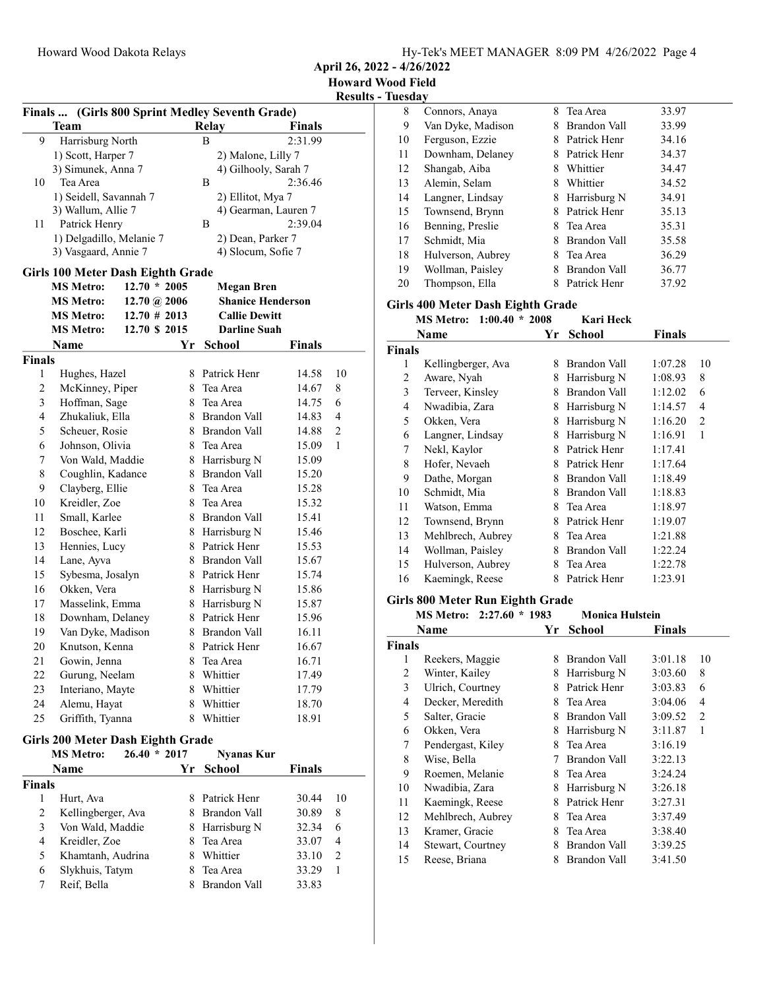April 26, 2022 - 4/26/2022

| (Girls 800 Sprint Medley Seventh Grade)<br><b>Finals</b> |                                          |                  |    |                              |                      |        |
|----------------------------------------------------------|------------------------------------------|------------------|----|------------------------------|----------------------|--------|
|                                                          | Team                                     |                  |    | Relay                        | <b>Finals</b>        |        |
| 9                                                        | Harrisburg North                         |                  |    | B                            | 2:31.99              |        |
|                                                          | 1) Scott, Harper 7                       |                  |    | 2) Malone, Lilly 7           |                      |        |
|                                                          | 3) Simunek, Anna 7                       |                  |    | 4) Gilhooly, Sarah 7         |                      |        |
| 10                                                       | Tea Area                                 |                  |    | B                            | 2:36.46              |        |
|                                                          | 1) Seidell, Savannah 7                   |                  |    | 2) Ellitot, Mya 7            |                      |        |
|                                                          | 3) Wallum, Allie 7                       |                  |    |                              | 4) Gearman, Lauren 7 |        |
| 11                                                       | Patrick Henry                            |                  |    | B                            | 2:39.04              |        |
|                                                          | 1) Delgadillo, Melanie 7                 |                  |    | 2) Dean, Parker 7            |                      |        |
|                                                          | 3) Vasgaard, Annie 7                     |                  |    | 4) Slocum, Sofie 7           |                      |        |
|                                                          | Girls 100 Meter Dash Eighth Grade        |                  |    |                              |                      |        |
|                                                          | <b>MS Metro:</b>                         | $12.70 * 2005$   |    | <b>Megan Bren</b>            |                      |        |
|                                                          | <b>MS Metro:</b>                         | $12.70\ @\ 2006$ |    | <b>Shanice Henderson</b>     |                      |        |
|                                                          | <b>MS Metro:</b>                         | $12.70 \# 2013$  |    | <b>Callie Dewitt</b>         |                      |        |
|                                                          | <b>MS Metro:</b>                         | 12.70 \$ 2015    |    | <b>Darline Suah</b>          |                      |        |
|                                                          | Name                                     |                  | Υr | School                       | <b>Finals</b>        |        |
| <b>Finals</b>                                            |                                          |                  |    |                              |                      |        |
| 1                                                        | Hughes, Hazel                            |                  |    | 8 Patrick Henr               | 14.58                | $10\,$ |
| $\overline{c}$                                           | McKinney, Piper                          |                  |    | 8 Tea Area                   |                      |        |
|                                                          |                                          |                  |    |                              | 14.67                | 8      |
| 3<br>4                                                   | Hoffman, Sage                            |                  |    | 8 Tea Area<br>8 Brandon Vall | 14.75                | 6<br>4 |
|                                                          | Zhukaliuk, Ella                          |                  |    | 8 Brandon Vall               | 14.83                |        |
| 5                                                        | Scheuer, Rosie                           |                  |    |                              | 14.88                | 2      |
| 6                                                        | Johnson, Olivia                          |                  |    | 8 Tea Area                   | 15.09                | 1      |
| 7                                                        | Von Wald, Maddie                         |                  |    | 8 Harrisburg N               | 15.09                |        |
| 8                                                        | Coughlin, Kadance                        |                  | 8  | Brandon Vall                 | 15.20                |        |
| 9                                                        | Clayberg, Ellie                          |                  | 8  | Tea Area                     | 15.28                |        |
| 10                                                       | Kreidler, Zoe                            |                  | 8. | Tea Area                     | 15.32                |        |
| 11                                                       | Small, Karlee                            |                  |    | 8 Brandon Vall               | 15.41                |        |
| 12                                                       | Boschee, Karli                           |                  |    | 8 Harrisburg N               | 15.46                |        |
| 13                                                       | Hennies, Lucy                            |                  |    | 8 Patrick Henr               | 15.53                |        |
| 14                                                       | Lane, Ayva                               |                  |    | 8 Brandon Vall               | 15.67                |        |
| 15                                                       | Sybesma, Josalyn                         |                  |    | 8 Patrick Henr               | 15.74                |        |
| 16                                                       | Okken, Vera                              |                  |    | 8 Harrisburg N               | 15.86                |        |
| 17                                                       | Masselink, Emma                          |                  |    | 8 Harrisburg N               | 15.87                |        |
| 18                                                       | Downham, Delaney                         |                  |    | 8 Patrick Henr               | 15.96                |        |
| 19                                                       | Van Dyke, Madison                        |                  |    | 8 Brandon Vall               | 16.11                |        |
| 20                                                       | Knutson, Kenna                           |                  | 8  | Patrick Henr                 | 16.67                |        |
| 21                                                       | Gowin, Jenna                             |                  |    | 8 Tea Area                   | 16.71                |        |
| 22                                                       | Gurung, Neelam                           |                  |    | 8 Whittier                   | 17.49                |        |
| 23                                                       | Interiano, Mayte                         |                  |    | 8 Whittier                   | 17.79                |        |
| 24                                                       | Alemu, Hayat                             |                  | 8  | Whittier                     | 18.70                |        |
| 25                                                       | Griffith, Tyanna                         |                  |    | 8 Whittier                   | 18.91                |        |
|                                                          | <b>Girls 200 Meter Dash Eighth Grade</b> |                  |    |                              |                      |        |
|                                                          | <b>MS Metro:</b>                         | $26.40 * 2017$   |    | <b>Nyanas Kur</b>            |                      |        |
|                                                          | Name                                     |                  | Yr | <b>School</b>                | <b>Finals</b>        |        |
|                                                          |                                          |                  |    |                              |                      |        |
| <b>Finals</b><br>1                                       | Hurt, Ava                                |                  |    | 8 Patrick Henr               | 30.44                | 10     |
|                                                          |                                          |                  |    | 8 Brandon Vall               |                      |        |
| 2                                                        | Kellingberger, Ava                       |                  |    |                              | 30.89                | 8      |
| 3                                                        | Von Wald, Maddie                         |                  |    | 8 Harrisburg N               | 32.34                | 6      |
| 4                                                        | Kreidler, Zoe                            |                  |    | 8 Tea Area                   | 33.07                | 4      |
| 5                                                        | Khamtanh, Audrina                        |                  |    | 8 Whittier                   | 33.10                | 2      |
| 6                                                        | Slykhuis, Tatym                          |                  | 8  | Tea Area                     | 33.29                | 1      |
| 7                                                        | Reif, Bella                              |                  | 8. | Brandon Vall                 | 33.83                |        |
|                                                          |                                          |                  |    |                              |                      |        |

| 8                       | Connors, Anaya                           |    | 8 Tea Area             | 33.97         |                         |
|-------------------------|------------------------------------------|----|------------------------|---------------|-------------------------|
| 9                       | Van Dyke, Madison                        |    | 8 Brandon Vall         | 33.99         |                         |
| 10                      | Ferguson, Ezzie                          |    | 8 Patrick Henr         | 34.16         |                         |
| 11                      | Downham, Delaney                         |    | 8 Patrick Henr         | 34.37         |                         |
| 12                      | Shangab, Aiba                            |    | 8 Whittier             | 34.47         |                         |
| 13                      | Alemin, Selam                            |    | 8 Whittier             | 34.52         |                         |
| 14                      | Langner, Lindsay                         |    | 8 Harrisburg N         | 34.91         |                         |
| 15                      | Townsend, Brynn                          |    | 8 Patrick Henr         | 35.13         |                         |
| 16                      | Benning, Preslie                         | 8  | Tea Area               | 35.31         |                         |
| 17                      | Schmidt, Mia                             |    | 8 Brandon Vall         | 35.58         |                         |
| 18                      | Hulverson, Aubrey                        |    | 8 Tea Area             | 36.29         |                         |
| 19                      | Wollman, Paisley                         |    | 8 Brandon Vall         | 36.77         |                         |
| 20                      | Thompson, Ella                           |    | 8 Patrick Henr         | 37.92         |                         |
|                         |                                          |    |                        |               |                         |
|                         | <b>Girls 400 Meter Dash Eighth Grade</b> |    |                        |               |                         |
|                         | $1:00.40 * 2008$<br><b>MS Metro:</b>     |    | <b>Kari Heck</b>       |               |                         |
|                         | Name                                     | Yr | <b>School</b>          | <b>Finals</b> |                         |
| <b>Finals</b>           |                                          |    |                        |               |                         |
| 1                       | Kellingberger, Ava                       |    | 8 Brandon Vall         | 1:07.28       | 10                      |
| 2                       | Aware, Nyah                              |    | 8 Harrisburg N         | 1:08.93       | 8                       |
| 3                       | Terveer, Kinsley                         |    | 8 Brandon Vall         | 1:12.02       | 6                       |
| 4                       | Nwadibia, Zara                           |    | 8 Harrisburg N         | 1:14.57       | 4                       |
| 5                       | Okken, Vera                              |    | 8 Harrisburg N         | 1:16.20       | 2                       |
| 6                       | Langner, Lindsay                         |    | 8 Harrisburg N         | 1:16.91       | 1                       |
| 7                       | Nekl, Kaylor                             |    | 8 Patrick Henr         | 1:17.41       |                         |
| $\,$ $\,$               | Hofer, Nevaeh                            |    | 8 Patrick Henr         | 1:17.64       |                         |
| 9                       | Dathe, Morgan                            |    | 8 Brandon Vall         | 1:18.49       |                         |
| 10                      | Schmidt, Mia                             |    | 8 Brandon Vall         | 1:18.83       |                         |
| 11                      | Watson, Emma                             |    | 8 Tea Area             | 1:18.97       |                         |
| 12                      | Townsend, Brynn                          |    | 8 Patrick Henr         | 1:19.07       |                         |
| 13                      | Mehlbrech, Aubrey                        |    | 8 Tea Area             | 1:21.88       |                         |
| 14                      | Wollman, Paisley                         |    | 8 Brandon Vall         | 1:22.24       |                         |
| 15                      | Hulverson, Aubrey                        |    | 8 Tea Area             | 1:22.78       |                         |
| 16                      | Kaemingk, Reese                          |    | 8 Patrick Henr         | 1:23.91       |                         |
|                         | <b>Girls 800 Meter Run Eighth Grade</b>  |    |                        |               |                         |
|                         | <b>MS Metro:</b><br>$2:27.60 * 1983$     |    | <b>Monica Hulstein</b> |               |                         |
|                         | Name                                     | Yr | <b>School</b>          | <b>Finals</b> |                         |
| <b>Finals</b>           |                                          |    |                        |               |                         |
| 1                       | Reekers, Maggie                          | 8  | <b>Brandon Vall</b>    | 3:01.18       | 10                      |
| 2                       | Winter, Kailey                           |    | 8 Harrisburg N         | 3:03.60       | 8                       |
| 3                       | Ulrich, Courtney                         |    | 8 Patrick Henr         | 3:03.83       | 6                       |
| $\overline{\mathbf{4}}$ | Decker, Meredith                         | 8  | Tea Area               | 3:04.06       | $\overline{\mathbf{4}}$ |
| 5                       | Salter, Gracie                           | 8  | <b>Brandon Vall</b>    | 3:09.52       | $\mathbf{2}$            |
| 6                       | Okken, Vera                              | 8  | Harrisburg N           | 3:11.87       | 1                       |
| 7                       | Pendergast, Kiley                        | 8  | Tea Area               | 3:16.19       |                         |
| 8                       | Wise, Bella                              | 7  | Brandon Vall           | 3:22.13       |                         |
| 9                       | Roemen, Melanie                          | 8  | Tea Area               | 3:24.24       |                         |
| 10                      | Nwadibia, Zara                           | 8  | Harrisburg N           | 3:26.18       |                         |
| 11                      | Kaemingk, Reese                          | 8  | Patrick Henr           | 3:27.31       |                         |
| 12                      | Mehlbrech, Aubrey                        | 8  | Tea Area               | 3:37.49       |                         |
| 13                      | Kramer, Gracie                           | 8  | Tea Area               | 3:38.40       |                         |
| 14                      | Stewart, Courtney                        |    | 8 Brandon Vall         | 3:39.25       |                         |
| 15                      | Reese, Briana                            | 8  | Brandon Vall           | 3:41.50       |                         |
|                         |                                          |    |                        |               |                         |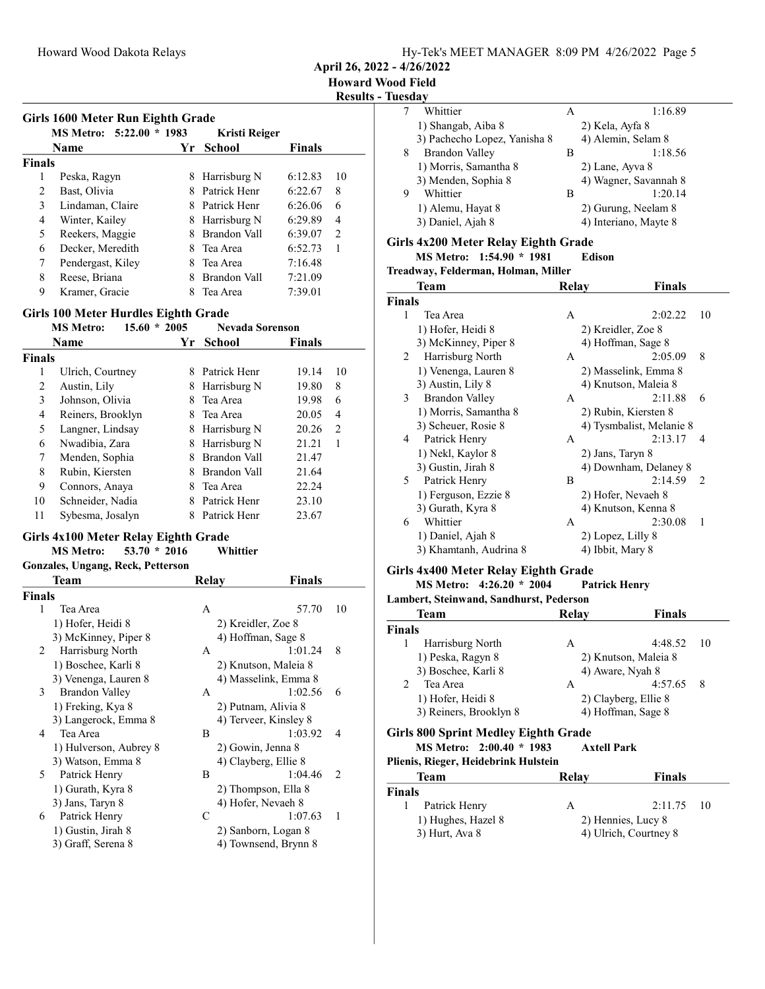April 26, 2022 - 4/26/2022

Results - Tuesday

|   | Whittier                     | А | 1:16.89               |
|---|------------------------------|---|-----------------------|
|   | 1) Shangab, Aiba 8           |   | 2) Kela, Ayfa 8       |
|   | 3) Pachecho Lopez, Yanisha 8 |   | 4) Alemin, Selam 8    |
| 8 | Brandon Valley               | В | 1:18.56               |
|   | 1) Morris, Samantha 8        |   | 2) Lane, Ayva 8       |
|   | 3) Menden, Sophia 8          |   | 4) Wagner, Savannah 8 |
| 9 | Whittier                     | В | 1:20.14               |
|   | 1) Alemu, Hayat 8            |   | 2) Gurung, Neelam 8   |
|   | 3) Daniel, Ajah 8            |   | 4) Interiano, Mayte 8 |
|   |                              |   |                       |

#### Girls 4x200 Meter Relay Eighth Grade

MS Metro:  $1:54.90 * 1981$  Edison

Treadway, Felderman, Holman, Miller

|               | Team                   | Relay             | Finals                   |               |
|---------------|------------------------|-------------------|--------------------------|---------------|
| <b>Finals</b> |                        |                   |                          |               |
| 1             | Tea Area               | A                 | 2:02.22                  | 10            |
|               | 1) Hofer, Heidi 8      |                   | 2) Kreidler, Zoe 8       |               |
|               | 3) McKinney, Piper 8   |                   | 4) Hoffman, Sage 8       |               |
| 2             | Harrisburg North       | A                 | 2:05.09                  | 8             |
|               | 1) Venenga, Lauren 8   |                   | 2) Masselink, Emma 8     |               |
|               | 3) Austin, Lily 8      |                   | 4) Knutson, Maleia 8     |               |
| 3             | Brandon Valley         | A                 | 2:11.88                  | 6             |
|               | 1) Morris, Samantha 8  |                   | 2) Rubin, Kiersten 8     |               |
|               | 3) Scheuer, Rosie 8    |                   | 4) Tysmbalist, Melanie 8 |               |
| 4             | Patrick Henry          | А                 | 2:13.17                  | 4             |
|               | 1) Nekl, Kaylor 8      | 2) Jans, Taryn 8  |                          |               |
|               | 3) Gustin, Jirah 8     |                   | 4) Downham, Delaney 8    |               |
| 5             | Patrick Henry          | B                 | 2:14.59                  | $\mathcal{L}$ |
|               | 1) Ferguson, Ezzie 8   |                   | 2) Hofer, Nevaeh 8       |               |
|               | 3) Gurath, Kyra 8      |                   | 4) Knutson, Kenna 8      |               |
| 6             | Whittier               | А                 | 2:30.08                  | 1             |
|               | 1) Daniel, Ajah 8      | 2) Lopez, Lilly 8 |                          |               |
|               | 3) Khamtanh, Audrina 8 | 4) Ibbit, Mary 8  |                          |               |

#### Girls 4x400 Meter Relay Eighth Grade

MS Metro:  $4:26.20 * 2004$  Patrick Henry

Lambert, Steinwand, Sandhurst, Pederson

| Team                                                             | Relay              | <b>Finals</b>        |
|------------------------------------------------------------------|--------------------|----------------------|
| <b>Finals</b>                                                    |                    |                      |
| Harrisburg North<br>1                                            | A                  | 4:48.52<br>-10       |
| 1) Peska, Ragyn 8                                                |                    | 2) Knutson, Maleia 8 |
| 3) Boschee, Karli 8                                              |                    | 4) Aware, Nyah 8     |
| $\mathcal{L}$<br>Tea Area                                        | A                  | 4:57.65<br>8         |
| 1) Hofer, Heidi 8                                                |                    | 2) Clayberg, Ellie 8 |
| 3) Reiners, Brooklyn 8                                           |                    | 4) Hoffman, Sage 8   |
| Girls 800 Sprint Medley Eighth Grade<br>MS Metro: 2:00.40 * 1983 | <b>Axtell Park</b> |                      |
| Plienis, Rieger, Heidebrink Hulstein                             |                    |                      |
| Team                                                             | Relav              | <b>Finals</b>        |
| m.                                                               |                    |                      |

| Finals |                    |                    |                       |  |
|--------|--------------------|--------------------|-----------------------|--|
|        | Patrick Henry      | А                  | $2:11.75$ 10          |  |
|        | 1) Hughes, Hazel 8 | 2) Hennies, Lucy 8 |                       |  |
|        | $3)$ Hurt, Ava $8$ |                    | 4) Ulrich, Courtney 8 |  |

Girls 1600 Meter Run Eighth Grade

|               | GILIS 1000 METER KUIL EIGHIN GLAUE |         |               |               |               |  |
|---------------|------------------------------------|---------|---------------|---------------|---------------|--|
|               | <b>MS Metro: 5:22.00</b>           | $*1983$ | Kristi Reiger |               |               |  |
|               | Name                               | Yr      | <b>School</b> | <b>Finals</b> |               |  |
| <b>Finals</b> |                                    |         |               |               |               |  |
|               | Peska, Ragyn                       | 8       | Harrisburg N  | 6:12.83       | 10            |  |
| 2             | Bast, Olivia                       |         | Patrick Henr  | 6:22.67       | 8             |  |
| 3             | Lindaman, Claire                   |         | Patrick Henr  | 6:26.06       | 6             |  |
| 4             | Winter, Kailey                     | 8       | Harrisburg N  | 6:29.89       | 4             |  |
| 5             | Reekers, Maggie                    |         | Brandon Vall  | 6:39.07       | $\mathcal{L}$ |  |
| 6             | Decker, Meredith                   |         | Tea Area      | 6:52.73       |               |  |
| 7             | Pendergast, Kiley                  | 8       | Tea Area      | 7:16.48       |               |  |
| 8             | Reese, Briana                      |         | Brandon Vall  | 7:21.09       |               |  |
| 9             | Kramer, Gracie                     |         | Tea Area      | 7:39.01       |               |  |

#### Girls 100 Meter Hurdles Eighth Grade

|               | 15.60<br><b>MS Metro:</b><br>$\ast$ | 2005 | <b>Nevada Sorenson</b> |        |    |
|---------------|-------------------------------------|------|------------------------|--------|----|
|               | Name                                | Yr   | School                 | Finals |    |
| <b>Finals</b> |                                     |      |                        |        |    |
| 1             | Ulrich, Courtney                    | 8    | Patrick Henr           | 19.14  | 10 |
| 2             | Austin, Lily                        | 8    | Harrisburg N           | 19.80  | 8  |
| 3             | Johnson, Olivia                     | 8    | Tea Area               | 19.98  | 6  |
| 4             | Reiners, Brooklyn                   | 8    | Tea Area               | 20.05  | 4  |
| 5             | Langner, Lindsay                    | 8    | Harrisburg N           | 20.26  | 2  |
| 6             | Nwadibia, Zara                      | 8    | Harrisburg N           | 21.21  | 1  |
| 7             | Menden, Sophia                      | 8    | Brandon Vall           | 21.47  |    |
| 8             | Rubin, Kiersten                     | 8    | Brandon Vall           | 21.64  |    |
| 9             | Connors, Anaya                      | 8    | Tea Area               | 22.24  |    |
| 10            | Schneider, Nadia                    | 8    | Patrick Henr           | 23.10  |    |
| 11            | Sybesma, Josalyn                    | 8    | Patrick Henr           | 23.67  |    |

# Girls 4x100 Meter Relay Eighth Grade<br>MS Metro: 53.70 \* 2016 Whittier

MS Metro:  $53.70 * 2016$ 

#### Gonzales, Ungang, Reck, Petterson

| <b>Team</b>            | Relay | Finals                   |  |
|------------------------|-------|--------------------------|--|
| <b>Finals</b>          |       |                          |  |
| 1<br>Tea Area          | A     | 10<br>57.70              |  |
| 1) Hofer, Heidi 8      |       | 2) Kreidler, Zoe 8       |  |
| 3) McKinney, Piper 8   |       | 4) Hoffman, Sage 8       |  |
| Harrisburg North<br>2  | A     | 8<br>1:01.24             |  |
| 1) Boschee, Karli 8    |       | 2) Knutson, Maleia 8     |  |
| 3) Venenga, Lauren 8   |       | 4) Masselink, Emma 8     |  |
| 3<br>Brandon Valley    | A     | 1:02.56<br>6             |  |
| 1) Freking, Kya 8      |       | 2) Putnam, Alivia 8      |  |
| 3) Langerock, Emma 8   |       | 4) Terveer, Kinsley 8    |  |
| Tea Area<br>4          | B     | 1:03.92<br>4             |  |
| 1) Hulverson, Aubrey 8 |       | 2) Gowin, Jenna 8        |  |
| 3) Watson, Emma 8      |       | 4) Clayberg, Ellie 8     |  |
| Patrick Henry<br>5     | B     | 1:04.46<br>$\mathcal{L}$ |  |
| 1) Gurath, Kyra 8      |       | 2) Thompson, Ella 8      |  |
| 3) Jans, Taryn 8       |       | 4) Hofer, Nevaeh 8       |  |
| Patrick Henry<br>6     | C     | 1:07.63<br>1             |  |
| 1) Gustin, Jirah 8     |       | 2) Sanborn, Logan 8      |  |
| 3) Graff, Serena 8     |       | 4) Townsend, Brynn 8     |  |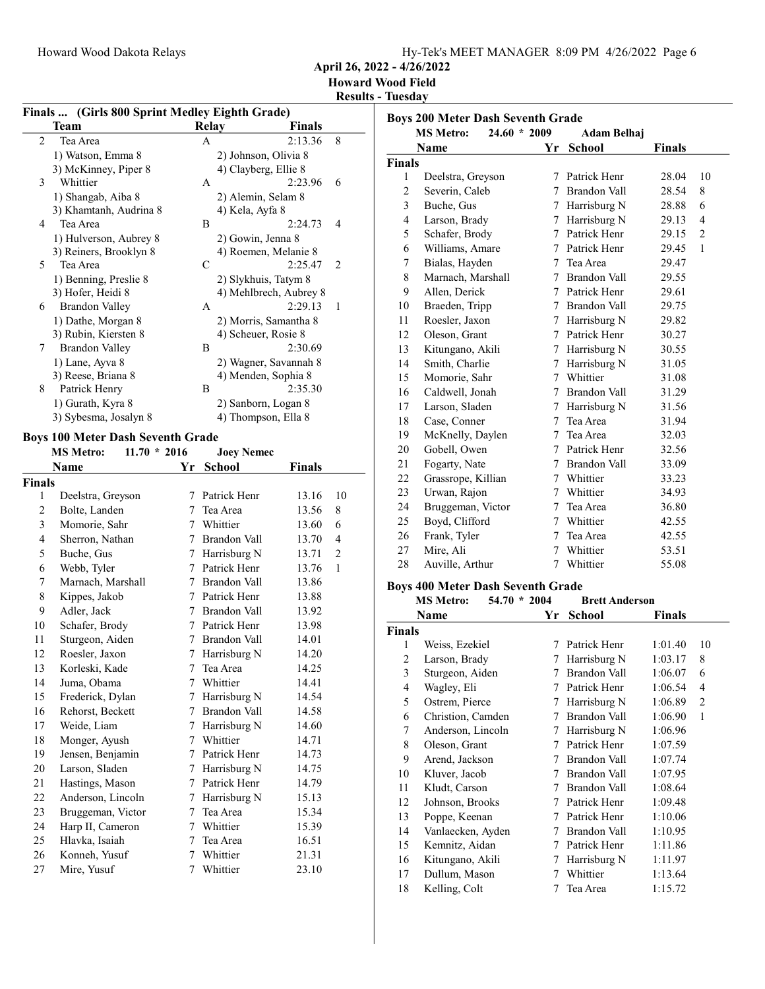April 26, 2022 - 4/26/2022

Howard Wood Field

Results - Tuesday

|  | Finals  (Girls 800 Sprint Medley Eighth Grade) |
|--|------------------------------------------------|
|  |                                                |

|   | Finals  (Gillis over Sprint Medicy Eighth Grade) |       |                        |   |
|---|--------------------------------------------------|-------|------------------------|---|
|   | Team                                             | Relay | Finals                 |   |
| 2 | Tea Area                                         | A     | 2:13.36                | 8 |
|   | 1) Watson, Emma 8                                |       | 2) Johnson, Olivia 8   |   |
|   | 3) McKinney, Piper 8                             |       | 4) Clayberg, Ellie 8   |   |
| 3 | Whittier                                         | A     | 2:23.96                | 6 |
|   | 1) Shangab, Aiba 8                               |       | 2) Alemin, Selam 8     |   |
|   | 3) Khamtanh, Audrina 8                           |       | 4) Kela, Ayfa 8        |   |
| 4 | Tea Area                                         | B     | 2:24.73                | 4 |
|   | 1) Hulverson, Aubrey 8                           |       | 2) Gowin, Jenna 8      |   |
|   | 3) Reiners, Brooklyn 8                           |       | 4) Roemen, Melanie 8   |   |
| 5 | Tea Area                                         | C     | 2:25.47                | 2 |
|   | 1) Benning, Preslie 8                            |       | 2) Slykhuis, Tatym 8   |   |
|   | 3) Hofer, Heidi 8                                |       | 4) Mehlbrech, Aubrey 8 |   |
| 6 | Brandon Valley                                   | A     | 2:29.13                | 1 |
|   | 1) Dathe, Morgan 8                               |       | 2) Morris, Samantha 8  |   |
|   | 3) Rubin, Kiersten 8                             |       | 4) Scheuer, Rosie 8    |   |
| 7 | Brandon Valley                                   | B     | 2:30.69                |   |
|   | 1) Lane, Ayva 8                                  |       | 2) Wagner, Savannah 8  |   |
|   | 3) Reese, Briana 8                               |       | 4) Menden, Sophia 8    |   |
| 8 | Patrick Henry                                    | B     | 2:35.30                |   |
|   | 1) Gurath, Kyra 8                                |       | 2) Sanborn, Logan 8    |   |
|   | 3) Sybesma, Josalyn 8                            |       | 4) Thompson, Ella 8    |   |

## Boys 100 Meter Dash Seventh Grade<br>MS Metro: 11.70 \* 2016

|                         | <b>MS Metro:</b><br>$11.70 * 2016$ |                 | <b>Joey Nemec</b> |               |                |
|-------------------------|------------------------------------|-----------------|-------------------|---------------|----------------|
|                         | Name                               | Yr              | <b>School</b>     | <b>Finals</b> |                |
| Finals                  |                                    |                 |                   |               |                |
| 1                       | Deelstra, Greyson                  | 7               | Patrick Henr      | 13.16         | 10             |
| 2                       | Bolte, Landen                      | 7               | Tea Area          | 13.56         | 8              |
| $\overline{\mathbf{3}}$ | Momorie, Sahr                      |                 | 7 Whittier        | 13.60         | 6              |
| 4                       | Sherron, Nathan                    | 7               | Brandon Vall      | 13.70         | $\overline{4}$ |
| 5                       | Buche, Gus                         | 7               | Harrisburg N      | 13.71         | $\overline{2}$ |
| 6                       | Webb, Tyler                        | 7               | Patrick Henr      | 13.76         | 1              |
| 7                       | Marnach, Marshall                  |                 | 7 Brandon Vall    | 13.86         |                |
| 8                       | Kippes, Jakob                      |                 | 7 Patrick Henr    | 13.88         |                |
| 9                       | Adler, Jack                        | $7\phantom{.0}$ | Brandon Vall      | 13.92         |                |
| 10                      | Schafer, Brody                     |                 | 7 Patrick Henr    | 13.98         |                |
| 11                      | Sturgeon, Aiden                    | 7               | Brandon Vall      | 14.01         |                |
| 12                      | Roesler, Jaxon                     |                 | 7 Harrisburg N    | 14.20         |                |
| 13                      | Korleski, Kade                     | 7               | Tea Area          | 14.25         |                |
| 14                      | Juma, Obama                        | 7               | Whittier          | 14.41         |                |
| 15                      | Frederick, Dylan                   | 7               | Harrisburg N      | 14.54         |                |
| 16                      | Rehorst, Beckett                   | $\tau$          | Brandon Vall      | 14.58         |                |
| 17                      | Weide, Liam                        | 7               | Harrisburg N      | 14.60         |                |
| 18                      | Monger, Ayush                      | 7               | Whittier          | 14.71         |                |
| 19                      | Jensen, Benjamin                   |                 | 7 Patrick Henr    | 14.73         |                |
| 20                      | Larson, Sladen                     | 7               | Harrisburg N      | 14.75         |                |
| 21                      | Hastings, Mason                    |                 | 7 Patrick Henr    | 14.79         |                |
| 22                      | Anderson, Lincoln                  | 7               | Harrisburg N      | 15.13         |                |
| 23                      | Bruggeman, Victor                  | 7               | Tea Area          | 15.34         |                |
| 24                      | Harp II, Cameron                   |                 | 7 Whittier        | 15.39         |                |
| 25                      | Hlavka, Isaiah                     | 7               | Tea Area          | 16.51         |                |
| 26                      | Konneh, Yusuf                      |                 | 7 Whittier        | 21.31         |                |
| 27                      | Mire, Yusuf                        | 7               | Whittier          | 23.10         |                |

| <b>Boys 200 Meter Dash Seventh Grade</b> |                                    |             |                     |        |                |
|------------------------------------------|------------------------------------|-------------|---------------------|--------|----------------|
|                                          | <b>MS Metro:</b><br>$24.60 * 2009$ |             | Adam Belhaj         |        |                |
|                                          | Name                               | Yr          | <b>School</b>       | Finals |                |
| <b>Finals</b>                            |                                    |             |                     |        |                |
| 1                                        | Deelstra, Greyson                  | 7           | Patrick Henr        | 28.04  | 10             |
| $\mathbf{2}$                             | Severin, Caleb                     | 7           | <b>Brandon Vall</b> | 28.54  | 8              |
| 3                                        | Buche, Gus                         | 7           | Harrisburg N        | 28.88  | 6              |
| $\overline{4}$                           | Larson, Brady                      | 7           | Harrisburg N        | 29.13  | $\overline{4}$ |
| 5                                        | Schafer, Brody                     | 7           | Patrick Henr        | 29.15  | $\overline{2}$ |
| 6                                        | Williams, Amare                    | 7           | Patrick Henr        | 29.45  | 1              |
| 7                                        | Bialas, Hayden                     | 7           | Tea Area            | 29.47  |                |
| 8                                        | Marnach, Marshall                  | 7           | Brandon Vall        | 29.55  |                |
| 9                                        | Allen, Derick                      | 7           | Patrick Henr        | 29.61  |                |
| 10                                       | Braeden, Tripp                     | 7           | <b>Brandon Vall</b> | 29.75  |                |
| 11                                       | Roesler, Jaxon                     | $7^{\circ}$ | Harrisburg N        | 29.82  |                |
| 12                                       | Oleson, Grant                      | 7           | Patrick Henr        | 30.27  |                |
| 13                                       | Kitungano, Akili                   | 7           | Harrisburg N        | 30.55  |                |
| 14                                       | Smith, Charlie                     | 7           | Harrisburg N        | 31.05  |                |
| 15                                       | Momorie, Sahr                      | $7^{\circ}$ | Whittier            | 31.08  |                |
| 16                                       | Caldwell, Jonah                    | 7           | <b>Brandon Vall</b> | 31.29  |                |
| 17                                       | Larson, Sladen                     | 7           | Harrisburg N        | 31.56  |                |
| 18                                       | Case, Conner                       | 7           | Tea Area            | 31.94  |                |
| 19                                       | McKnelly, Daylen                   | 7           | Tea Area            | 32.03  |                |
| 20                                       | Gobell, Owen                       | 7           | Patrick Henr        | 32.56  |                |
| 21                                       | Fogarty, Nate                      | 7           | <b>Brandon Vall</b> | 33.09  |                |
| 22                                       | Grassrope, Killian                 |             | 7 Whittier          | 33.23  |                |
| 23                                       | Urwan, Rajon                       | 7           | Whittier            | 34.93  |                |
| 24                                       | Bruggeman, Victor                  | 7           | Tea Area            | 36.80  |                |
| 25                                       | Boyd, Clifford                     | 7           | Whittier            | 42.55  |                |
| 26                                       | Frank, Tyler                       | 7           | Tea Area            | 42.55  |                |
| 27                                       | Mire, Ali                          | 7           | Whittier            | 53.51  |                |
| 28                                       | Auville, Arthur                    | 7           | Whittier            | 55.08  |                |
|                                          |                                    |             |                     |        |                |

## Boys 400 Meter Dash Seventh Grade

|               | <b>MS Metro:</b>  | $54.70 * 2004$ | <b>Brett Anderson</b> |         |                |
|---------------|-------------------|----------------|-----------------------|---------|----------------|
|               | Name              | Yr             | <b>School</b>         | Finals  |                |
| <b>Finals</b> |                   |                |                       |         |                |
| 1             | Weiss, Ezekiel    | 7              | Patrick Henr          | 1:01.40 | 10             |
| 2             | Larson, Brady     | 7              | Harrisburg N          | 1:03.17 | 8              |
| 3             | Sturgeon, Aiden   | 7              | Brandon Vall          | 1:06.07 | 6              |
| 4             | Wagley, Eli       | 7              | Patrick Henr          | 1:06.54 | 4              |
| 5             | Ostrem, Pierce    | 7              | Harrisburg N          | 1:06.89 | $\overline{2}$ |
| 6             | Christion, Camden | 7              | Brandon Vall          | 1:06.90 | $\mathbf{1}$   |
| 7             | Anderson, Lincoln | 7              | Harrisburg N          | 1:06.96 |                |
| 8             | Oleson, Grant     | 7              | Patrick Henr          | 1:07.59 |                |
| 9             | Arend, Jackson    | 7              | Brandon Vall          | 1:07.74 |                |
| 10            | Kluver, Jacob     | 7              | Brandon Vall          | 1:07.95 |                |
| 11            | Kludt, Carson     | 7              | Brandon Vall          | 1:08.64 |                |
| 12            | Johnson, Brooks   | 7              | Patrick Henr          | 1:09.48 |                |
| 13            | Poppe, Keenan     | 7              | Patrick Henr          | 1:10.06 |                |
| 14            | Vanlaecken, Ayden | 7              | Brandon Vall          | 1:10.95 |                |
| 15            | Kemnitz, Aidan    | 7              | Patrick Henr          | 1:11.86 |                |
| 16            | Kitungano, Akili  | 7              | Harrisburg N          | 1:11.97 |                |
| 17            | Dullum, Mason     | 7              | Whittier              | 1:13.64 |                |
| 18            | Kelling, Colt     | 7              | Tea Area              | 1:15.72 |                |
|               |                   |                |                       |         |                |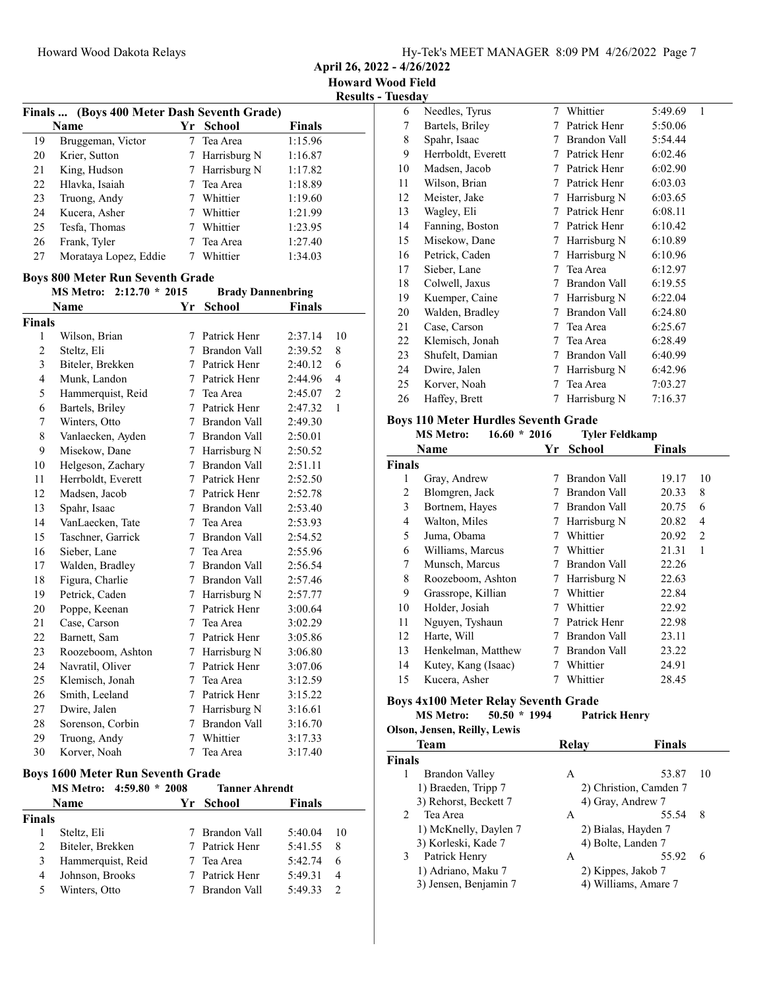April 26, 2022 - 4/26/2022

Results - Tuesday

|               | Finals  (Boys 400 Meter Dash Seventh Grade) |                |                          |               |                          |
|---------------|---------------------------------------------|----------------|--------------------------|---------------|--------------------------|
|               | Name                                        |                | Yr School                | <b>Finals</b> |                          |
| 19            | Bruggeman, Victor                           | 7              | Tea Area                 | 1:15.96       |                          |
| 20            | Krier, Sutton                               |                | 7 Harrisburg N           | 1:16.87       |                          |
| 21            | King, Hudson                                |                | 7 Harrisburg N           | 1:17.82       |                          |
| 22            | Hlavka, Isaiah                              |                | 7 Tea Area               | 1:18.89       |                          |
| 23            | Truong, Andy                                |                | 7 Whittier               | 1:19.60       |                          |
| 24            | Kucera, Asher                               |                | 7 Whittier               | 1:21.99       |                          |
| 25            | Tesfa, Thomas                               | $\tau$         | Whittier                 | 1:23.95       |                          |
| 26            | Frank, Tyler                                | $\tau$         | Tea Area                 | 1:27.40       |                          |
| 27            | Morataya Lopez, Eddie                       | 7              | Whittier                 | 1:34.03       |                          |
|               | <b>Boys 800 Meter Run Seventh Grade</b>     |                |                          |               |                          |
|               | <b>MS Metro:</b><br>$2:12.70 * 2015$        |                | <b>Brady Dannenbring</b> |               |                          |
|               | <b>Name</b>                                 | Yr             | School                   | <b>Finals</b> |                          |
| <b>Finals</b> |                                             |                |                          |               |                          |
| 1             | Wilson, Brian                               | 7              | Patrick Henr             | 2:37.14       | 10                       |
| 2             | Steltz, Eli                                 | $\tau$         | <b>Brandon Vall</b>      | 2:39.52       | 8                        |
| 3             | Biteler, Brekken                            |                | 7 Patrick Henr           | 2:40.12       | 6                        |
| 4             | Munk, Landon                                |                | 7 Patrick Henr           | 2:44.96       | $\overline{\mathcal{L}}$ |
| 5             | Hammerquist, Reid                           |                | 7 Tea Area               | 2:45.07       | $\overline{c}$           |
| 6             | Bartels, Briley                             | $\tau$         | Patrick Henr             | 2:47.32       | 1                        |
| 7             | Winters, Otto                               |                | 7 Brandon Vall           | 2:49.30       |                          |
| 8             | Vanlaecken, Ayden                           |                | 7 Brandon Vall           | 2:50.01       |                          |
| 9             | Misekow, Dane                               |                | 7 Harrisburg N           | 2:50.52       |                          |
| 10            | Helgeson, Zachary                           |                | 7 Brandon Vall           | 2:51.11       |                          |
| 11            | Herrboldt, Everett                          | 7              | Patrick Henr             | 2:52.50       |                          |
| 12            | Madsen, Jacob                               | $\tau$         | Patrick Henr             | 2:52.78       |                          |
| 13            | Spahr, Isaac                                | 7              | Brandon Vall             | 2:53.40       |                          |
| 14            | VanLaecken, Tate                            |                | 7 Tea Area               | 2:53.93       |                          |
| 15            | Taschner, Garrick                           |                | 7 Brandon Vall           | 2:54.52       |                          |
| 16            | Sieber, Lane                                | $\tau$         | Tea Area                 | 2:55.96       |                          |
| 17            | Walden, Bradley                             | 7              | Brandon Vall             | 2:56.54       |                          |
| 18            | Figura, Charlie                             |                | 7 Brandon Vall           | 2:57.46       |                          |
| 19            | Petrick, Caden                              |                | 7 Harrisburg N           | 2:57.77       |                          |
| 20            | Poppe, Keenan                               |                | 7 Patrick Henr           | 3:00.64       |                          |
| 21            | Case, Carson                                |                | 7 Tea Area               | 3:02.29       |                          |
| 22            | Barnett, Sam                                | 7              | Patrick Henr             | 3:05.86       |                          |
| 23            | Roozeboom, Ashton                           |                | 7 Harrisburg N           | 3:06.80       |                          |
| 24            | Navratil, Oliver                            |                | 7 Patrick Henr           | 3:07.06       |                          |
| 25            | Klemisch, Jonah                             | 7              | Tea Area                 | 3:12.59       |                          |
| 26            | Smith, Leeland                              | 7              | Patrick Henr             | 3:15.22       |                          |
| 27            | Dwire, Jalen                                |                | 7 Harrisburg N           | 3:16.61       |                          |
| 28            | Sorenson, Corbin                            |                | 7 Brandon Vall           | 3:16.70       |                          |
| 29            | Truong, Andy                                | $\overline{7}$ | Whittier                 | 3:17.33       |                          |
| 30            | Korver, Noah                                | $\overline{7}$ | Tea Area                 | 3:17.40       |                          |

## Boys 1600 Meter Run Seventh Grade

|        | MS Metro: 4:59.80 * 2008 | <b>Tanner Ahrendt</b> |         |               |
|--------|--------------------------|-----------------------|---------|---------------|
|        | Name                     | Yr School             | Finals  |               |
| Finals |                          |                       |         |               |
|        | Steltz, Eli              | Brandon Vall          | 5:40.04 | 10            |
|        | Biteler, Brekken         | 7 Patrick Henr        | 5:41.55 | 8             |
|        | Hammerquist, Reid        | Tea Area              | 5:42.74 | 6             |
| 4      | Johnson, Brooks          | 7 Patrick Henr        | 5:49.31 | 4             |
|        | Winters, Otto            | Brandon Vall          | 5:49.33 | $\mathcal{D}$ |

| 6  | Needles, Tyrus     | 7 | Whittier     | 5:49.69 | $\mathbf{1}$ |
|----|--------------------|---|--------------|---------|--------------|
| 7  | Bartels, Briley    | 7 | Patrick Henr | 5:50.06 |              |
| 8  | Spahr, Isaac       | 7 | Brandon Vall | 5:54.44 |              |
| 9  | Herrboldt, Everett | 7 | Patrick Henr | 6:02.46 |              |
| 10 | Madsen, Jacob      | 7 | Patrick Henr | 6:02.90 |              |
| 11 | Wilson, Brian      | 7 | Patrick Henr | 6:03.03 |              |
| 12 | Meister, Jake      | 7 | Harrisburg N | 6:03.65 |              |
| 13 | Wagley, Eli        | 7 | Patrick Henr | 6:08.11 |              |
| 14 | Fanning, Boston    | 7 | Patrick Henr | 6:10.42 |              |
| 15 | Misekow, Dane      | 7 | Harrisburg N | 6:10.89 |              |
| 16 | Petrick, Caden     | 7 | Harrisburg N | 6:10.96 |              |
| 17 | Sieber, Lane       | 7 | Tea Area     | 6:12.97 |              |
| 18 | Colwell, Jaxus     | 7 | Brandon Vall | 6:19.55 |              |
| 19 | Kuemper, Caine     | 7 | Harrisburg N | 6:22.04 |              |
| 20 | Walden, Bradley    | 7 | Brandon Vall | 6:24.80 |              |
| 21 | Case, Carson       | 7 | Tea Area     | 6:25.67 |              |
| 22 | Klemisch, Jonah    | 7 | Tea Area     | 6:28.49 |              |
| 23 | Shufelt, Damian    | 7 | Brandon Vall | 6:40.99 |              |
| 24 | Dwire, Jalen       | 7 | Harrisburg N | 6:42.96 |              |
| 25 | Korver, Noah       | 7 | Tea Area     | 7:03.27 |              |
| 26 | Haffey, Brett      | 7 | Harrisburg N | 7:16.37 |              |
|    |                    |   |              |         |              |

## Boys 110 Meter Hurdles Seventh Grade

|                | $16.60 * 2016$<br><b>MS Metro:</b> |    | <b>Tyler Feldkamp</b> |               |    |
|----------------|------------------------------------|----|-----------------------|---------------|----|
|                | Name                               | Yr | School                | <b>Finals</b> |    |
| <b>Finals</b>  |                                    |    |                       |               |    |
| 1              | Gray, Andrew                       | 7  | Brandon Vall          | 19.17         | 10 |
| 2              | Blomgren, Jack                     |    | Brandon Vall          | 20.33         | 8  |
| 3              | Bortnem, Hayes                     | 7  | Brandon Vall          | 20.75         | 6  |
| $\overline{4}$ | Walton, Miles                      | 7  | Harrisburg N          | 20.82         | 4  |
| 5              | Juma, Obama                        | 7  | Whittier              | 20.92         | 2  |
| 6              | Williams, Marcus                   | 7  | Whittier              | 21.31         | 1  |
| 7              | Munsch, Marcus                     | 7  | Brandon Vall          | 22.26         |    |
| 8              | Roozeboom, Ashton                  | 7  | Harrisburg N          | 22.63         |    |
| 9              | Grassrope, Killian                 | 7  | Whittier              | 22.84         |    |
| 10             | Holder, Josiah                     | 7  | Whittier              | 22.92         |    |
| 11             | Nguyen, Tyshaun                    | 7  | Patrick Henr          | 22.98         |    |
| 12             | Harte, Will                        | 7  | Brandon Vall          | 23.11         |    |
| 13             | Henkelman, Matthew                 | 7  | Brandon Vall          | 23.22         |    |
| 14             | Kutey, Kang (Isaac)                | 7  | Whittier              | 24.91         |    |
| 15             | Kucera, Asher                      |    | Whittier              | 28.45         |    |

#### Boys 4x100 Meter Relay Seventh Grade<br>MS Metro: 50.50 \* 1994 Patr  $50.\overline{50}$  \* 1994 Patrick Henry Olson, Jensen, Reilly, Lewis

| Oison, ocusen, ixemy, lewis |       |                        |
|-----------------------------|-------|------------------------|
| <b>Team</b>                 | Relay | <b>Finals</b>          |
| <b>Finals</b>               |       |                        |
| Brandon Valley<br>1         | A     | 53.87<br>10            |
| 1) Braeden, Tripp 7         |       | 2) Christion, Camden 7 |
| 3) Rehorst, Beckett 7       |       | 4) Gray, Andrew 7      |
| Tea Area<br>2               | A     | 55.54<br>8             |
| 1) McKnelly, Daylen 7       |       | 2) Bialas, Hayden 7    |
| 3) Korleski, Kade 7         |       | 4) Bolte, Landen 7     |
| Patrick Henry<br>3          | A     | 55.92<br>6             |
| 1) Adriano, Maku 7          |       | 2) Kippes, Jakob 7     |
| 3) Jensen, Benjamin 7       |       | 4) Williams, Amare 7   |
|                             |       |                        |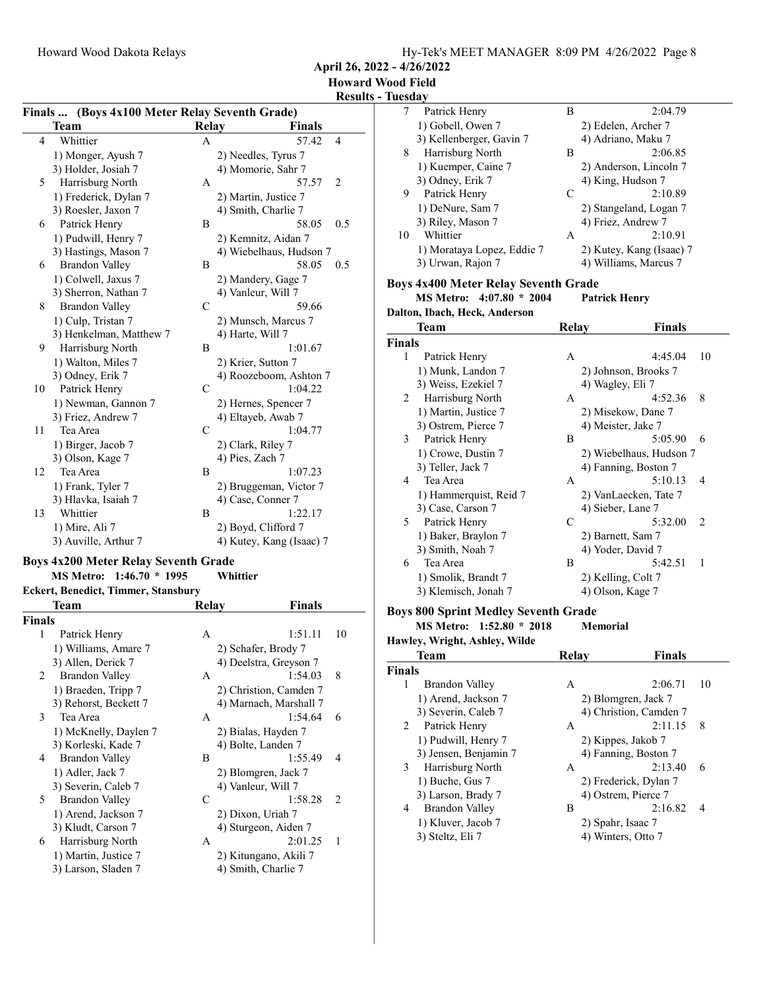April 26, 2022 - 4/26/2022

#### Howard Wood Field Results - Tuesda

#### Finals ... (Boys 4x100 Meter Relay Seventh Grade)

|    | Finals  (Doys 4X100 Meter Relay Seventh Grade) |              |                          |  |  |
|----|------------------------------------------------|--------------|--------------------------|--|--|
|    | Team                                           | Relay        | <b>Finals</b>            |  |  |
| 4  | Whittier                                       | A            | 57.42<br>4               |  |  |
|    | 1) Monger, Ayush 7                             |              | 2) Needles, Tyrus 7      |  |  |
|    | 3) Holder, Josiah 7                            |              | 4) Momorie, Sahr 7       |  |  |
| 5  | Harrisburg North                               | A            | $\overline{2}$<br>57.57  |  |  |
|    | 1) Frederick, Dylan 7                          |              | 2) Martin, Justice 7     |  |  |
|    | 3) Roesler, Jaxon 7                            |              | 4) Smith, Charlie 7      |  |  |
| 6  | Patrick Henry                                  | B            | 58.05<br>0.5             |  |  |
|    | 1) Pudwill, Henry 7                            |              | 2) Kemnitz, Aidan 7      |  |  |
|    | 3) Hastings, Mason 7                           |              | 4) Wiebelhaus, Hudson 7  |  |  |
| 6  | <b>Brandon Valley</b>                          | B            | 58.05<br>0.5             |  |  |
|    | 1) Colwell, Jaxus 7                            |              | 2) Mandery, Gage 7       |  |  |
|    | 3) Sherron, Nathan 7                           |              | 4) Vanleur, Will 7       |  |  |
| 8  | <b>Brandon Valley</b>                          | C            | 59.66                    |  |  |
|    | 1) Culp, Tristan 7                             |              | 2) Munsch, Marcus 7      |  |  |
|    | 3) Henkelman, Matthew 7                        |              | 4) Harte, Will 7         |  |  |
| 9  | Harrisburg North                               | B            | 1:01.67                  |  |  |
|    | 1) Walton, Miles 7                             |              | 2) Krier, Sutton 7       |  |  |
|    | 3) Odney, Erik 7                               |              | 4) Roozeboom, Ashton 7   |  |  |
| 10 | Patrick Henry                                  | C            | 1:04.22                  |  |  |
|    | 1) Newman, Gannon 7                            |              | 2) Hernes, Spencer 7     |  |  |
|    | 3) Friez, Andrew 7                             |              | 4) Eltayeb, Awab 7       |  |  |
| 11 | Tea Area                                       | $\mathsf{C}$ | 1:04.77                  |  |  |
|    | 1) Birger, Jacob 7                             |              | 2) Clark, Riley 7        |  |  |
|    | 3) Olson, Kage 7                               |              | 4) Pies, Zach 7          |  |  |
| 12 | Tea Area                                       | B            | 1:07.23                  |  |  |
|    | 1) Frank, Tyler 7                              |              | 2) Bruggeman, Victor 7   |  |  |
|    | 3) Hlavka, Isaiah 7                            |              | 4) Case, Conner 7        |  |  |
| 13 | Whittier                                       | B            | 1:22.17                  |  |  |
|    | 1) Mire, Ali 7                                 |              | 2) Boyd, Clifford 7      |  |  |
|    | 3) Auville, Arthur 7                           |              | 4) Kutey, Kang (Isaac) 7 |  |  |
|    |                                                |              |                          |  |  |

#### Boys 4x200 Meter Relay Seventh Grade

## MS Metro: 1:46.70 \* 1995 Whittier

## Eckert, Benedict, Timmer, Stansbury<br>
Team
R

|               | Team                  | Relay              | Finals                 |    |
|---------------|-----------------------|--------------------|------------------------|----|
| <b>Finals</b> |                       |                    |                        |    |
| 1             | Patrick Henry         | A                  | 1:51.11                | 10 |
|               | 1) Williams, Amare 7  |                    | 2) Schafer, Brody 7    |    |
|               | 3) Allen, Derick 7    |                    | 4) Deelstra, Greyson 7 |    |
| $\mathbf{2}$  | <b>Brandon Valley</b> | A                  | 1:54.03                | 8  |
|               | 1) Braeden, Tripp 7   |                    | 2) Christion, Camden 7 |    |
|               | 3) Rehorst, Beckett 7 |                    | 4) Marnach, Marshall 7 |    |
| 3             | Tea Area              | A                  | 1:54.64                | 6  |
|               | 1) McKnelly, Daylen 7 |                    | 2) Bialas, Hayden 7    |    |
|               | 3) Korleski, Kade 7   |                    | 4) Bolte, Landen 7     |    |
| 4             | Brandon Valley        | B                  | 1:55.49<br>4           |    |
|               | 1) Adler, Jack 7      |                    | 2) Blomgren, Jack 7    |    |
|               | 3) Severin, Caleb 7   | 4) Vanleur, Will 7 |                        |    |
| 5.            | Brandon Valley        | C                  | 1:58.28<br>2           |    |
|               | 1) Arend, Jackson 7   | 2) Dixon, Uriah 7  |                        |    |
|               | 3) Kludt, Carson 7    |                    | 4) Sturgeon, Aiden 7   |    |
| 6             | Harrisburg North      | A                  | 2:01.25<br>1           |    |
|               | 1) Martin, Justice 7  |                    | 2) Kitungano, Akili 7  |    |
|               | 3) Larson, Sladen 7   |                    | 4) Smith, Charlie 7    |    |
|               |                       |                    |                        |    |

| Lucsua y |                                             |              |                          |    |
|----------|---------------------------------------------|--------------|--------------------------|----|
| 7        | Patrick Henry                               | B            | 2:04.79                  |    |
|          | 1) Gobell, Owen 7                           |              | 2) Edelen, Archer 7      |    |
|          | 3) Kellenberger, Gavin 7                    |              | 4) Adriano, Maku 7       |    |
| 8        | Harrisburg North                            | В            | 2:06.85                  |    |
|          | 1) Kuemper, Caine 7                         |              | 2) Anderson, Lincoln 7   |    |
|          | 3) Odney, Erik 7                            |              | 4) King, Hudson 7        |    |
| 9        | Patrick Henry                               | C            | 2:10.89                  |    |
|          | 1) DeNure, Sam 7                            |              | 2) Stangeland, Logan 7   |    |
|          | 3) Riley, Mason 7                           |              | 4) Friez, Andrew 7       |    |
| 10       | Whittier                                    | А            | 2:10.91                  |    |
|          | 1) Morataya Lopez, Eddie 7                  |              | 2) Kutey, Kang (Isaac) 7 |    |
|          | 3) Urwan, Rajon 7                           |              | 4) Williams, Marcus 7    |    |
|          |                                             |              |                          |    |
|          | <b>Boys 4x400 Meter Relay Seventh Grade</b> |              |                          |    |
|          | MS Metro: 4:07.80 * 2004                    |              | <b>Patrick Henry</b>     |    |
|          | Dalton, Ibach, Heck, Anderson               |              |                          |    |
|          | Team                                        | <b>Relay</b> | Finals                   |    |
| Finals   |                                             |              |                          |    |
| 1        | Patrick Henry                               | Α            | 4:45.04                  | 10 |
|          | 1) Munk, Landon 7                           |              | 2) Johnson, Brooks 7     |    |
|          | 3) Weiss, Ezekiel 7                         |              | 4) Wagley, Eli 7         |    |
| 2        | Harrisburg North                            | Α            | 4:52.36                  | 8  |
|          | 1) Martin, Justice 7                        |              |                          |    |
|          |                                             |              | 2) Misekow, Dane 7       |    |
|          | 3) Ostrem, Pierce 7                         |              | 4) Meister, Jake 7       |    |
| 3        | Patrick Henry                               | Β            | 5:05.90                  | 6  |
|          | 1) Crowe, Dustin 7                          |              | 2) Wiebelhaus, Hudson 7  |    |
|          | 3) Teller, Jack 7                           |              | 4) Fanning, Boston 7     |    |
| 4        | Tea Area                                    | Α            | 5:10.13                  | 4  |
|          | 1) Hammerquist, Reid 7                      |              | 2) VanLaecken, Tate 7    |    |
|          | 3) Case, Carson 7                           |              | 4) Sieber, Lane 7        |    |
| 5        | Patrick Henry                               | С            | 5:32.00                  | 2  |
|          | 1) Baker, Braylon 7                         |              | 2) Barnett, Sam 7        |    |
|          | 3) Smith, Noah 7                            |              | 4) Yoder, David 7        |    |
| 6        | Tea Area                                    | B            | 5:42.51                  | 1  |
|          | 1) Smolik, Brandt 7                         |              | 2) Kelling, Colt 7       |    |
|          | 3) Klemisch, Jonah 7                        |              | 4) Olson, Kage 7         |    |
|          | <b>Boys 800 Sprint Medley Seventh Grade</b> |              |                          |    |
|          | MS Metro: 1:52.80 * 2018                    |              | Memorial                 |    |
|          | Hawley, Wright, Ashley, Wilde               |              |                          |    |
|          | Team                                        | <b>Relay</b> | Finals                   |    |
|          |                                             |              |                          |    |
| Finals   |                                             |              |                          |    |
| 1        | <b>Brandon Valley</b>                       | Α            | 2:06.71                  | 10 |
|          | 1) Arend, Jackson 7                         |              | 2) Blomgren, Jack 7      |    |
|          | 3) Severin, Caleb 7                         |              | 4) Christion, Camden 7   |    |
| 2        | Patrick Henry                               | Α            | 2:11.15                  | 8  |
|          | 1) Pudwill, Henry 7                         |              | 2) Kippes, Jakob 7       |    |

| 1) Pudwill, Henry 7   | 2) Kippes, Jakob 7    |   |
|-----------------------|-----------------------|---|
| 3) Jensen, Benjamin 7 | 4) Fanning, Boston 7  |   |
| Harrisburg North      | 2:13.40<br>А          | 6 |
| 1) Buche, Gus 7       | 2) Frederick, Dylan 7 |   |
| 3) Larson, Brady 7    | 4) Ostrem, Pierce 7   |   |
| <b>Brandon Valley</b> | 2:16.82               | 4 |
|                       |                       |   |

1) Kluver, Jacob 7 2) Spahr, Isaac 7<br>3) Steltz, Eli 7 4) Winters, Otto 7 4) Winters, Otto 7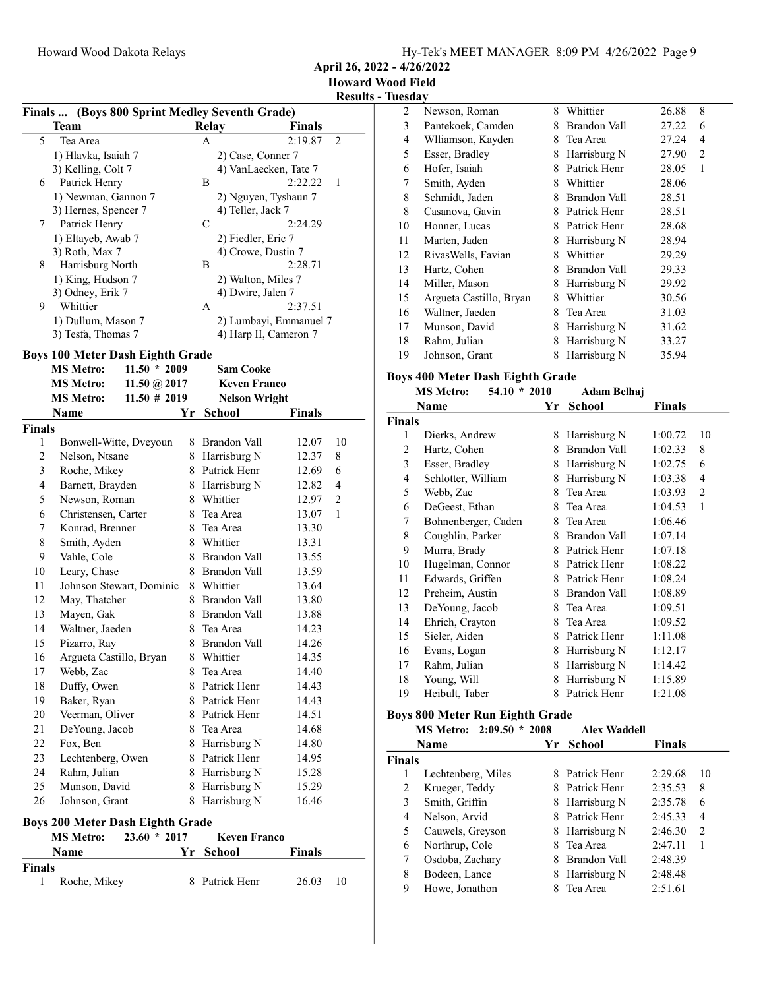April 26, 2022 - 4/26/2022

| Finals  (Boys 800 Sprint Medley Seventh Grade) |  |
|------------------------------------------------|--|
|                                                |  |

| $\frac{1}{2}$         |                     |       |                        |     |  |  |
|-----------------------|---------------------|-------|------------------------|-----|--|--|
| <b>Team</b>           |                     | Relay | <b>Finals</b>          |     |  |  |
| 5<br>Tea Area         |                     | A     | 2:19.87                | 2   |  |  |
| 1) Hlavka, Isaiah 7   |                     |       | 2) Case, Conner 7      |     |  |  |
| 3) Kelling, Colt 7    |                     |       | 4) VanLaecken, Tate 7  |     |  |  |
| Patrick Henry<br>6    |                     | B     | 2:22.22                | - 1 |  |  |
|                       | 1) Newman, Gannon 7 |       | 2) Nguyen, Tyshaun 7   |     |  |  |
| 3) Hernes, Spencer 7  |                     |       | 4) Teller, Jack 7      |     |  |  |
| Patrick Henry<br>7    |                     | C     | 2:24.29                |     |  |  |
| 1) Eltayeb, Awab 7    |                     |       | 2) Fiedler, Eric 7     |     |  |  |
| 3) Roth, Max 7        |                     |       | 4) Crowe, Dustin 7     |     |  |  |
| 8<br>Harrisburg North |                     | B     | 2:28.71                |     |  |  |
| 1) King, Hudson 7     |                     |       | 2) Walton, Miles 7     |     |  |  |
| 3) Odney, Erik 7      |                     |       | 4) Dwire, Jalen 7      |     |  |  |
| Whittier<br>9         |                     | А     | 2:37.51                |     |  |  |
| 1) Dullum, Mason 7    |                     |       | 2) Lumbayi, Emmanuel 7 |     |  |  |
| 3) Tesfa, Thomas 7    |                     |       | 4) Harp II, Cameron 7  |     |  |  |
|                       |                     |       |                        |     |  |  |

## Boys 100 Meter Dash Eighth Grade

Finals

|        | <b>MS Metro:</b>                        | $11.50 * 2009$           |    | <b>Sam Cooke</b>     |               |                |
|--------|-----------------------------------------|--------------------------|----|----------------------|---------------|----------------|
|        | <b>MS Metro:</b>                        | 11.50 @ $2017$           |    | <b>Keven Franco</b>  |               |                |
|        | <b>MS Metro:</b>                        | $11.50 \# 2019$          |    | <b>Nelson Wright</b> |               |                |
|        | Name                                    |                          | Yr | School               | <b>Finals</b> |                |
| Finals |                                         |                          |    |                      |               |                |
| 1      |                                         | Bonwell-Witte, Dveyoun   | 8  | <b>Brandon Vall</b>  | 12.07         | 10             |
| 2      | Nelson, Ntsane                          |                          | 8  | Harrisburg N         | 12.37         | 8              |
| 3      | Roche, Mikey                            |                          | 8  | Patrick Henr         | 12.69         | 6              |
| 4      | Barnett, Brayden                        |                          | 8  | Harrisburg N         | 12.82         | 4              |
| 5      | Newson, Roman                           |                          | 8  | Whittier             | 12.97         | $\overline{c}$ |
| 6      | Christensen, Carter                     |                          | 8  | Tea Area             | 13.07         | $\mathbf{1}$   |
| 7      | Konrad, Brenner                         |                          | 8  | Tea Area             | 13.30         |                |
| 8      | Smith, Ayden                            |                          | 8  | Whittier             | 13.31         |                |
| 9      | Vahle, Cole                             |                          | 8  | Brandon Vall         | 13.55         |                |
| 10     | Leary, Chase                            |                          | 8  | Brandon Vall         | 13.59         |                |
| 11     |                                         | Johnson Stewart, Dominic | 8  | Whittier             | 13.64         |                |
| 12     | May, Thatcher                           |                          | 8  | Brandon Vall         | 13.80         |                |
| 13     | Mayen, Gak                              |                          | 8  | Brandon Vall         | 13.88         |                |
| 14     | Waltner, Jaeden                         |                          | 8  | Tea Area             | 14.23         |                |
| 15     | Pizarro, Ray                            |                          | 8  | Brandon Vall         | 14.26         |                |
| 16     | Argueta Castillo, Bryan                 |                          | 8  | Whittier             | 14.35         |                |
| 17     | Webb, Zac                               |                          | 8  | Tea Area             | 14.40         |                |
| 18     | Duffy, Owen                             |                          | 8  | Patrick Henr         | 14.43         |                |
| 19     | Baker, Ryan                             |                          | 8  | Patrick Henr         | 14.43         |                |
| 20     | Veerman, Oliver                         |                          | 8  | Patrick Henr         | 14.51         |                |
| 21     | De Young, Jacob                         |                          | 8  | Tea Area             | 14.68         |                |
| 22     | Fox, Ben                                |                          | 8  | Harrisburg N         | 14.80         |                |
| 23     | Lechtenberg, Owen                       |                          | 8  | Patrick Henr         | 14.95         |                |
| 24     | Rahm, Julian                            |                          | 8  | Harrisburg N         | 15.28         |                |
| 25     | Munson, David                           |                          | 8  | Harrisburg N         | 15.29         |                |
| 26     | Johnson, Grant                          |                          | 8  | Harrisburg N         | 16.46         |                |
|        | <b>Boys 200 Meter Dash Eighth Grade</b> |                          |    |                      |               |                |
|        | <b>MS Metro:</b>                        | $23.60 * 2017$           |    | <b>Keven Franco</b>  |               |                |
|        | <b>Name</b>                             |                          | Yr | <b>School</b>        | <b>Finals</b> |                |

1 Roche, Mikey 8 Patrick Henr 26.03 10

| 2  | Newson, Roman           | 8 | Whittier            | 26.88 | 8              |
|----|-------------------------|---|---------------------|-------|----------------|
| 3  | Pantekoek, Camden       | 8 | Brandon Vall        | 27.22 | 6              |
| 4  | Wlliamson, Kayden       | 8 | Tea Area            | 27.24 | $\overline{4}$ |
| 5  | Esser, Bradley          | 8 | Harrisburg N        | 27.90 | 2              |
| 6  | Hofer, Isaiah           | 8 | Patrick Henr        | 28.05 | 1              |
| 7  | Smith, Ayden            | 8 | Whittier            | 28.06 |                |
| 8  | Schmidt, Jaden          | 8 | <b>Brandon Vall</b> | 28.51 |                |
| 8  | Casanova, Gavin         | 8 | Patrick Henr        | 28.51 |                |
| 10 | Honner, Lucas           | 8 | Patrick Henr        | 28.68 |                |
| 11 | Marten, Jaden           | 8 | Harrisburg N        | 28.94 |                |
| 12 | RivasWells, Favian      | 8 | Whittier            | 29.29 |                |
| 13 | Hartz, Cohen            | 8 | <b>Brandon Vall</b> | 29.33 |                |
| 14 | Miller, Mason           | 8 | Harrisburg N        | 29.92 |                |
| 15 | Argueta Castillo, Bryan | 8 | Whittier            | 30.56 |                |
| 16 | Waltner, Jaeden         | 8 | Tea Area            | 31.03 |                |
| 17 | Munson, David           | 8 | Harrisburg N        | 31.62 |                |
| 18 | Rahm, Julian            | 8 | Harrisburg N        | 33.27 |                |
| 19 | Johnson, Grant          | 8 | Harrisburg N        | 35.94 |                |

## Boys 400 Meter Dash Eighth Grade

|               | <b>MS Metro:</b><br>$54.10 * 2010$     |    | Adam Belhaj         |         |              |
|---------------|----------------------------------------|----|---------------------|---------|--------------|
|               | Name                                   | Yr | School              | Finals  |              |
| <b>Finals</b> |                                        |    |                     |         |              |
| 1             | Dierks, Andrew                         | 8  | Harrisburg N        | 1:00.72 | 10           |
| 2             | Hartz, Cohen                           | 8  | <b>Brandon Vall</b> | 1:02.33 | 8            |
| 3             | Esser, Bradley                         | 8  | Harrisburg N        | 1:02.75 | 6            |
| 4             | Schlotter, William                     | 8  | Harrisburg N        | 1:03.38 | 4            |
| 5             | Webb, Zac                              | 8  | Tea Area            | 1:03.93 | 2            |
| 6             | DeGeest, Ethan                         | 8  | Tea Area            | 1:04.53 | $\mathbf{1}$ |
| 7             | Bohnenberger, Caden                    | 8  | Tea Area            | 1:06.46 |              |
| 8             | Coughlin, Parker                       |    | 8 Brandon Vall      | 1:07.14 |              |
| 9             | Murra, Brady                           |    | 8 Patrick Henr      | 1:07.18 |              |
| 10            | Hugelman, Connor                       |    | 8 Patrick Henr      | 1:08.22 |              |
| 11            | Edwards, Griffen                       | 8  | Patrick Henr        | 1:08.24 |              |
| 12            | Preheim, Austin                        | 8  | Brandon Vall        | 1:08.89 |              |
| 13            | De Young, Jacob                        | 8  | Tea Area            | 1:09.51 |              |
| 14            | Ehrich, Crayton                        | 8  | Tea Area            | 1:09.52 |              |
| 15            | Sieler, Aiden                          |    | 8 Patrick Henr      | 1:11.08 |              |
| 16            | Evans, Logan                           | 8  | Harrisburg N        | 1:12.17 |              |
| 17            | Rahm, Julian                           | 8  | Harrisburg N        | 1:14.42 |              |
| 18            | Young, Will                            | 8  | Harrisburg N        | 1:15.89 |              |
| 19            | Heibult, Taber                         | 8  | Patrick Henr        | 1:21.08 |              |
|               | <b>Boys 800 Meter Run Eighth Grade</b> |    |                     |         |              |

|               | MS Metro: 2:09.50 * 2008 |    | <b>Alex Waddell</b> |               |                |
|---------------|--------------------------|----|---------------------|---------------|----------------|
|               | <b>Name</b>              | Yr | School              | <b>Finals</b> |                |
| <b>Finals</b> |                          |    |                     |               |                |
| l             | Lechtenberg, Miles       | 8  | Patrick Henr        | 2:29.68       | 10             |
| 2             | Krueger, Teddy           | 8  | Patrick Henr        | 2:35.53       | 8              |
| 3             | Smith, Griffin           | 8  | Harrisburg N        | 2:35.78       | 6              |
| 4             | Nelson, Arvid            | 8  | Patrick Henr        | 2:45.33       | 4              |
| 5             | Cauwels, Greyson         | 8  | Harrisburg N        | 2:46.30       | $\overline{c}$ |
| 6             | Northrup, Cole           | 8  | Tea Area            | 2:47.11       | 1              |
| 7             | Osdoba, Zachary          | 8  | Brandon Vall        | 2:48.39       |                |
| 8             | Bodeen, Lance            | 8  | Harrisburg N        | 2:48.48       |                |
| 9             | Howe, Jonathon           |    | Tea Area            | 2:51.61       |                |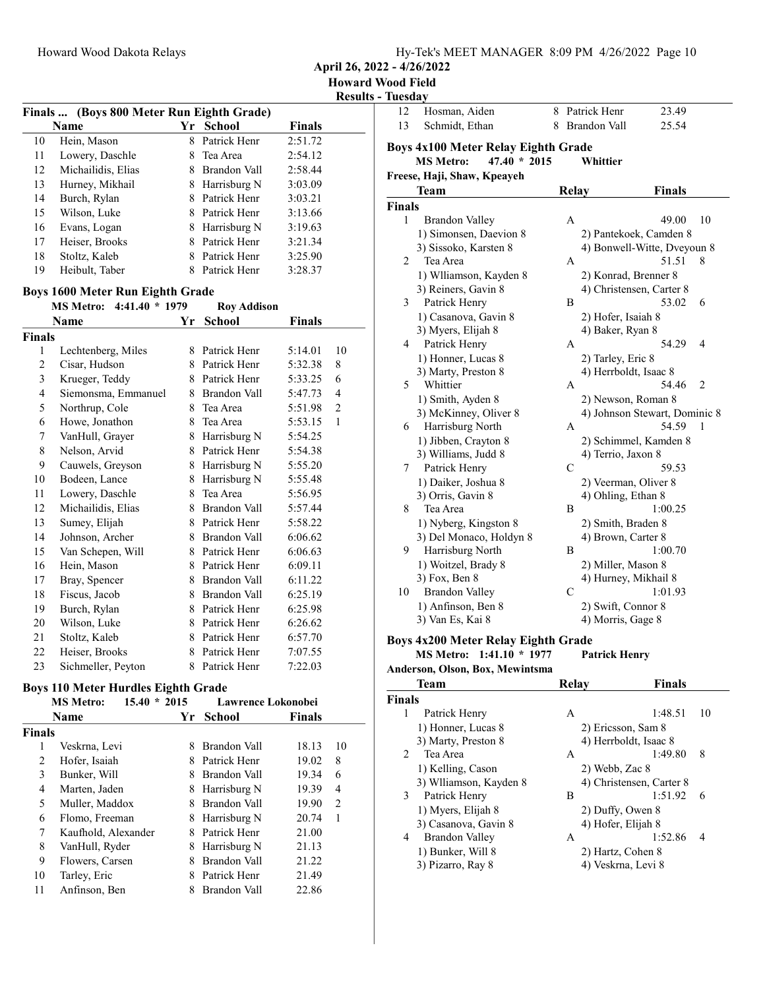| Hy-Tek's MEET MANAGER 8:09 PM 4/26/2022 Page 10 |
|-------------------------------------------------|
|-------------------------------------------------|

April 26, 2022 - 4/26/2022

Results - Tuesday

|    | Finals  (Boys 800 Meter Run Eighth Grade) |    |               |               |  |
|----|-------------------------------------------|----|---------------|---------------|--|
|    | Name                                      | Yr | <b>School</b> | <b>Finals</b> |  |
| 10 | Hein, Mason                               | 8  | Patrick Henr  | 2:51.72       |  |
| 11 | Lowery, Daschle                           |    | Tea Area      | 2:54.12       |  |
| 12 | Michailidis, Elias                        |    | Brandon Vall  | 2:58.44       |  |
| 13 | Hurney, Mikhail                           | 8  | Harrisburg N  | 3:03.09       |  |
| 14 | Burch, Rylan                              |    | Patrick Henr  | 3:03.21       |  |
| 15 | Wilson, Luke                              |    | Patrick Henr  | 3:13.66       |  |
| 16 | Evans, Logan                              | 8  | Harrisburg N  | 3:19.63       |  |
| 17 | Heiser, Brooks                            |    | Patrick Henr  | 3:21.34       |  |
| 18 | Stoltz, Kaleb                             |    | Patrick Henr  | 3:25.90       |  |
| 19 | Heibult, Taber                            |    | Patrick Henr  | 3:28.37       |  |

## Boys 1600 Meter Run Eighth Grade

|               | MS Metro: 4:41.40 * 1979 |    | <b>Roy Addison</b> |         |                |
|---------------|--------------------------|----|--------------------|---------|----------------|
|               | Name                     | Yr | <b>School</b>      | Finals  |                |
| <b>Finals</b> |                          |    |                    |         |                |
| 1             | Lechtenberg, Miles       | 8  | Patrick Henr       | 5:14.01 | 10             |
| 2             | Cisar, Hudson            | 8  | Patrick Henr       | 5:32.38 | 8              |
| 3             | Krueger, Teddy           | 8  | Patrick Henr       | 5:33.25 | 6              |
| 4             | Siemonsma, Emmanuel      |    | 8 Brandon Vall     | 5:47.73 | 4              |
| 5             | Northrup, Cole           | 8  | Tea Area           | 5:51.98 | $\overline{c}$ |
| 6             | Howe, Jonathon           | 8  | Tea Area           | 5:53.15 | 1              |
| 7             | VanHull, Grayer          | 8  | Harrisburg N       | 5:54.25 |                |
| 8             | Nelson, Arvid            | 8  | Patrick Henr       | 5:54.38 |                |
| 9             | Cauwels, Greyson         | 8  | Harrisburg N       | 5:55.20 |                |
| 10            | Bodeen, Lance            | 8  | Harrisburg N       | 5:55.48 |                |
| 11            | Lowery, Daschle          | 8  | Tea Area           | 5:56.95 |                |
| 12            | Michailidis, Elias       | 8  | Brandon Vall       | 5:57.44 |                |
| 13            | Sumey, Elijah            | 8  | Patrick Henr       | 5:58.22 |                |
| 14            | Johnson, Archer          | 8  | Brandon Vall       | 6:06.62 |                |
| 15            | Van Schepen, Will        | 8  | Patrick Henr       | 6:06.63 |                |
| 16            | Hein, Mason              | 8  | Patrick Henr       | 6:09.11 |                |
| 17            | Bray, Spencer            | 8  | Brandon Vall       | 6:11.22 |                |
| 18            | Fiscus, Jacob            | 8  | Brandon Vall       | 6:25.19 |                |
| 19            | Burch, Rylan             | 8  | Patrick Henr       | 6:25.98 |                |
| 20            | Wilson, Luke             |    | 8 Patrick Henr     | 6:26.62 |                |
| 21            | Stoltz, Kaleb            | 8  | Patrick Henr       | 6:57.70 |                |
| 22            | Heiser, Brooks           | 8  | Patrick Henr       | 7:07.55 |                |
| 23            | Sichmeller, Peyton       | 8  | Patrick Henr       | 7:22.03 |                |

## Boys 110 Meter Hurdles Eighth Grade

|               | $15.40 * 2015$<br><b>MS Metro:</b> |    | <b>Lawrence Lokonobei</b> |        |    |
|---------------|------------------------------------|----|---------------------------|--------|----|
|               | <b>Name</b>                        | Үr | School                    | Finals |    |
| <b>Finals</b> |                                    |    |                           |        |    |
| 1             | Veskrna, Levi                      | 8  | Brandon Vall              | 18.13  | 10 |
| 2             | Hofer, Isaiah                      | 8  | Patrick Henr              | 19.02  | 8  |
| 3             | Bunker, Will                       | 8  | Brandon Vall              | 19.34  | 6  |
| 4             | Marten, Jaden                      | 8  | Harrisburg N              | 19.39  | 4  |
| 5             | Muller, Maddox                     | 8  | Brandon Vall              | 19.90  | 2  |
| 6             | Flomo, Freeman                     | 8  | Harrisburg N              | 20.74  | 1  |
| 7             | Kaufhold, Alexander                | 8  | Patrick Henr              | 21.00  |    |
| 8             | VanHull, Ryder                     | 8  | Harrisburg N              | 21.13  |    |
| 9             | Flowers, Carsen                    | 8  | Brandon Vall              | 21.22  |    |
| 10            | Tarley, Eric                       | 8  | Patrick Henr              | 21.49  |    |
| 11            | Anfinson, Ben                      |    | Brandon Vall              | 22.86  |    |

| rucsun             |                                            |   |               |                               |               |                |
|--------------------|--------------------------------------------|---|---------------|-------------------------------|---------------|----------------|
| 12                 | Hosman, Aiden                              | 8 |               | Patrick Henr                  | 23.49         |                |
| 13                 | Schmidt, Ethan                             | 8 |               | Brandon Vall                  | 25.54         |                |
|                    | <b>Boys 4x100 Meter Relay Eighth Grade</b> |   |               |                               |               |                |
|                    | $47.40 * 2015$<br><b>MS Metro:</b>         |   |               | Whittier                      |               |                |
|                    | Freese, Haji, Shaw, Kpeayeh                |   |               |                               |               |                |
|                    | Team                                       |   | <b>Relay</b>  |                               | <b>Finals</b> |                |
|                    |                                            |   |               |                               |               |                |
| <b>Finals</b><br>1 |                                            |   | A             |                               | 49.00         | 10             |
|                    | <b>Brandon Valley</b>                      |   |               |                               |               |                |
|                    | 1) Simonsen, Daevion 8                     |   |               | 2) Pantekoek, Camden 8        |               |                |
| 2                  | 3) Sissoko, Karsten 8<br>Tea Area          |   |               | 4) Bonwell-Witte, Dveyoun 8   |               | 8              |
|                    |                                            |   | A             |                               | 51.51         |                |
|                    | 1) Wlliamson, Kayden 8                     |   |               | 2) Konrad, Brenner 8          |               |                |
|                    | 3) Reiners, Gavin 8                        |   | B             | 4) Christensen, Carter 8      | 53.02         | 6              |
| 3                  | Patrick Henry                              |   |               |                               |               |                |
|                    | 1) Casanova, Gavin 8                       |   |               | 2) Hofer, Isaiah 8            |               |                |
| 4                  | 3) Myers, Elijah 8                         |   | A             | 4) Baker, Ryan 8              | 54.29         | 4              |
|                    | Patrick Henry                              |   |               |                               |               |                |
|                    | 1) Honner, Lucas 8                         |   |               | 2) Tarley, Eric 8             |               |                |
| 5                  | 3) Marty, Preston 8<br>Whittier            |   | A             | 4) Herrboldt, Isaac 8         | 54.46         | $\overline{2}$ |
|                    | 1) Smith, Ayden 8                          |   |               | 2) Newson, Roman 8            |               |                |
|                    | 3) McKinney, Oliver 8                      |   |               | 4) Johnson Stewart, Dominic 8 |               |                |
| 6                  | Harrisburg North                           |   | A             |                               | 54.59         | 1              |
|                    | 1) Jibben, Crayton 8                       |   |               | 2) Schimmel, Kamden 8         |               |                |
|                    | 3) Williams, Judd 8                        |   |               | 4) Terrio, Jaxon 8            |               |                |
| 7                  | Patrick Henry                              |   | C             |                               | 59.53         |                |
|                    | 1) Daiker, Joshua 8                        |   |               | 2) Veerman, Oliver 8          |               |                |
|                    | 3) Orris, Gavin 8                          |   |               | 4) Ohling, Ethan 8            |               |                |
| 8                  | Tea Area                                   |   | B             |                               | 1:00.25       |                |
|                    | 1) Nyberg, Kingston 8                      |   |               | 2) Smith, Braden 8            |               |                |
|                    | 3) Del Monaco, Holdyn 8                    |   |               | 4) Brown, Carter 8            |               |                |
| 9                  | Harrisburg North                           |   | B             |                               | 1:00.70       |                |
|                    | 1) Woitzel, Brady 8                        |   |               | 2) Miller, Mason 8            |               |                |
|                    | 3) Fox, Ben 8                              |   |               | 4) Hurney, Mikhail 8          |               |                |
| 10                 | <b>Brandon Valley</b>                      |   | $\mathcal{C}$ |                               | 1:01.93       |                |
|                    | 1) Anfinson, Ben 8                         |   |               | 2) Swift, Connor 8            |               |                |
|                    | 3) Van Es, Kai 8                           |   |               | 4) Morris, Gage 8             |               |                |
|                    |                                            |   |               |                               |               |                |

#### Boys 4x200 Meter Relay Eighth Grade<br>MS Metro: 1:41.10 \* 1977 Patrick Henry MS Metro: 1:41.10 \* 1977

Anderson, Olson, Box, Mewintsma

| <b>Team</b>    |                        | Relav              | <b>Finals</b>            |  |
|----------------|------------------------|--------------------|--------------------------|--|
| <b>Finals</b>  |                        |                    |                          |  |
| 1              | Patrick Henry          | A                  | 1:48.51<br>10            |  |
|                | 1) Honner, Lucas 8     | 2) Ericsson, Sam 8 |                          |  |
|                | 3) Marty, Preston 8    |                    | 4) Herrboldt, Isaac 8    |  |
| $2^{\circ}$    | Tea Area               | A                  | 1:49.80<br>8             |  |
|                | 1) Kelling, Cason      | 2) Webb, Zac 8     |                          |  |
|                | 3) Wiliamson, Kayden 8 |                    | 4) Christensen, Carter 8 |  |
| $\mathfrak{Z}$ | Patrick Henry          | B                  | 1:51.92<br>6             |  |
|                | 1) Myers, Elijah 8     | 2) Duffy, Owen 8   |                          |  |
|                | 3) Casanova, Gavin 8   | 4) Hofer, Elijah 8 |                          |  |
| 4              | Brandon Valley         | A                  | 1:52.86<br>4             |  |
|                | 1) Bunker, Will 8      | 2) Hartz, Cohen 8  |                          |  |
|                | 3) Pizarro, Ray 8      |                    | 4) Veskrna, Levi 8       |  |
|                |                        |                    |                          |  |